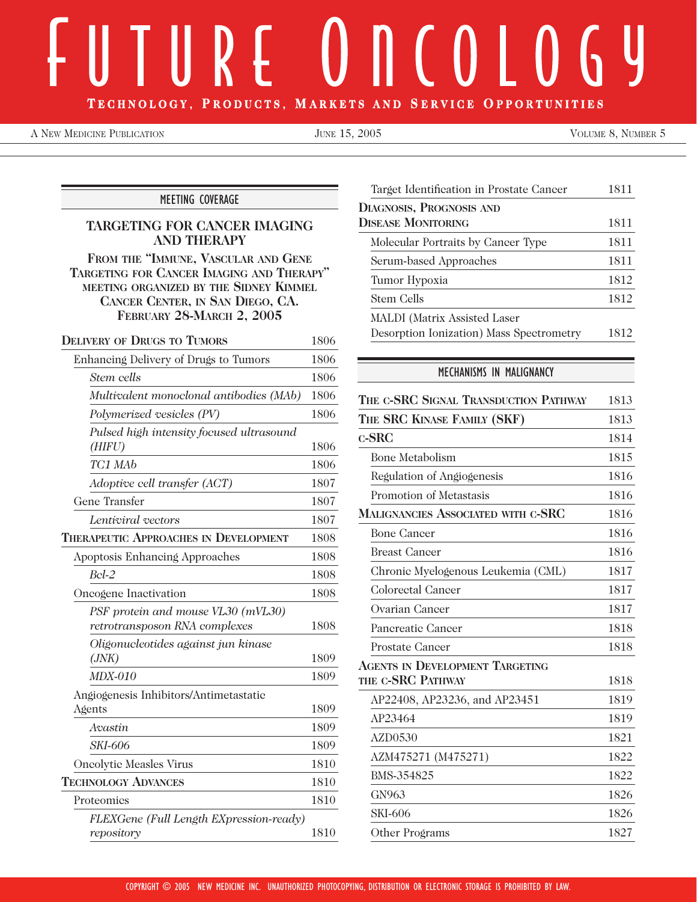# TECHNOLOGY, PRODUCTS, MARKETS AND SERVICE OPPORTUNITIES

A NEW MEDICINE PUBLICATION **FOR A SET ALCOHOLY** JUNE 15, 2005 **VOLUME 8, NUMBER 5** 

MEETING COVERAGE

# **TARGETING FOR CANCER IMAGING AND THERAPY**

**FROM THE "IMMUNE, VASCULAR AND GENE TARGETING FOR CANCER IMAGING AND THERAPY" MEETING ORGANIZED BY THE SIDNEY KIMMEL CANCER CENTER, IN SAN DIEGO, CA. FEBRUARY 28-MARCH 2, 2005**

| <b>DELIVERY OF DRUGS TO TUMORS</b>           | 1806 |
|----------------------------------------------|------|
| Enhancing Delivery of Drugs to Tumors        | 1806 |
| Stem cells                                   | 1806 |
| Multivalent monoclonal antibodies (MAb)      | 1806 |
| Polymerized vesicles (PV)                    | 1806 |
| Pulsed high intensity focused ultrasound     |      |
| (HIFU)                                       | 1806 |
| TC1 MAb                                      | 1806 |
| Adoptive cell transfer (ACT)                 | 1807 |
| Gene Transfer                                | 1807 |
| Lentiviral vectors                           | 1807 |
| <b>THERAPEUTIC APPROACHES IN DEVELOPMENT</b> | 1808 |
| Apoptosis Enhancing Approaches               | 1808 |
| $Bcl-2$                                      | 1808 |
| Oncogene Inactivation                        | 1808 |
| PSF protein and mouse VL30 (mVL30)           |      |
| retrotransposon RNA complexes                | 1808 |
| Oligonucleotides against jun kinase          |      |
| (JNK)                                        | 1809 |
| <b>MDX-010</b>                               | 1809 |
| Angiogenesis Inhibitors/Antimetastatic       |      |
| Agents                                       | 1809 |
| Avastin                                      | 1809 |
| <i>SKI-606</i>                               | 1809 |
| <b>Oncolytic Measles Virus</b>               | 1810 |
| <b>TECHNOLOGY ADVANCES</b>                   | 1810 |
| Proteomics                                   | 1810 |
| FLEXGene (Full Length EXpression-ready)      |      |
| repository                                   | 1810 |

| Target Identification in Prostate Cancer | 1811 |
|------------------------------------------|------|
| <b>DIAGNOSIS, PROGNOSIS AND</b>          |      |
| <b>DISEASE MONITORING</b>                | 1811 |
| Molecular Portraits by Cancer Type       | 1811 |
| Serum-based Approaches                   | 1811 |
| Tumor Hypoxia                            | 1812 |
| Stem Cells                               | 1812 |
| MALDI (Matrix Assisted Laser             |      |
| Desorption Ionization) Mass Spectrometry | 1812 |

# MECHANISMS IN MALIGNANCY

| THE C-SRC SIGNAL TRANSDUCTION PATHWAY  | 1813 |
|----------------------------------------|------|
| THE SRC KINASE FAMILY (SKF)            | 1813 |
| $c$ -SRC                               | 1814 |
| <b>Bone Metabolism</b>                 | 1815 |
| Regulation of Angiogenesis             | 1816 |
| Promotion of Metastasis                | 1816 |
| MALIGNANCIES ASSOCIATED WITH C-SRC     | 1816 |
| <b>Bone Cancer</b>                     | 1816 |
| <b>Breast Cancer</b>                   | 1816 |
| Chronic Myelogenous Leukemia (CML)     | 1817 |
| <b>Colorectal Cancer</b>               | 1817 |
| Ovarian Cancer                         | 1817 |
| Pancreatic Cancer                      | 1818 |
| Prostate Cancer                        | 1818 |
| <b>AGENTS IN DEVELOPMENT TARGETING</b> |      |
| THE C-SRC PATHWAY                      | 1818 |
| AP22408, AP23236, and AP23451          | 1819 |
| AP23464                                | 1819 |
| AZD0530                                | 1821 |
| AZM475271 (M475271)                    | 1822 |
| BMS-354825                             | 1822 |
| GN963                                  | 1826 |
| <b>SKI-606</b>                         | 1826 |
| Other Programs                         | 1827 |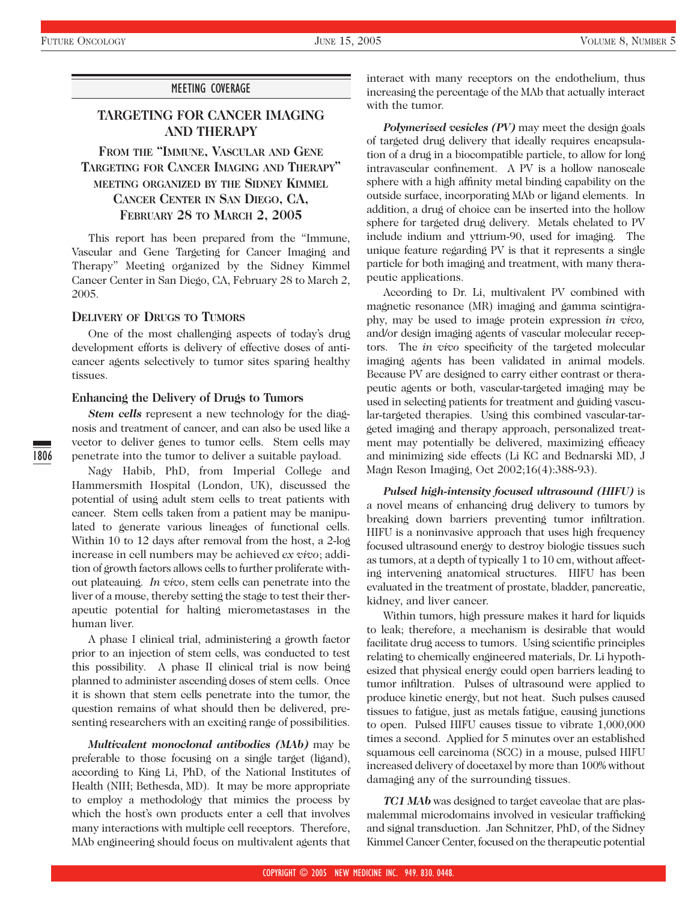## MEETING COVERAGE

# **TARGETING FOR CANCER IMAGING AND THERAPY**

**FROM THE "IMMUNE, VASCULAR AND GENE TARGETING FOR CANCER IMAGING AND THERAPY" MEETING ORGANIZED BY THE SIDNEY KIMMEL CANCER CENTER IN SAN DIEGO, CA, FEBRUARY 28 TO MARCH 2, 2005**

This report has been prepared from the "Immune, Vascular and Gene Targeting for Cancer Imaging and Therapy" Meeting organized by the Sidney Kimmel Cancer Center in San Diego, CA, February 28 to March 2, 2005.

# **DELIVERY OF DRUGS TO TUMORS**

One of the most challenging aspects of today's drug development efforts is delivery of effective doses of anticancer agents selectively to tumor sites sparing healthy tissues.

# **Enhancing the Delivery of Drugs to Tumors**

*Stem cells* represent a new technology for the diagnosis and treatment of cancer, and can also be used like a vector to deliver genes to tumor cells. Stem cells may penetrate into the tumor to deliver a suitable payload.

Nagy Habib, PhD, from Imperial College and Hammersmith Hospital (London, UK), discussed the potential of using adult stem cells to treat patients with cancer. Stem cells taken from a patient may be manipulated to generate various lineages of functional cells. Within 10 to 12 days after removal from the host, a 2-log increase in cell numbers may be achieved *ex vivo*; addition of growth factors allows cells to further proliferate without plateauing. *In vivo*, stem cells can penetrate into the liver of a mouse, thereby setting the stage to test their therapeutic potential for halting micrometastases in the human liver.

A phase I clinical trial, administering a growth factor prior to an injection of stem cells, was conducted to test this possibility. A phase II clinical trial is now being planned to administer ascending doses of stem cells. Once it is shown that stem cells penetrate into the tumor, the question remains of what should then be delivered, presenting researchers with an exciting range of possibilities.

*Multivalent monoclonal antibodies (MAb)* may be preferable to those focusing on a single target (ligand), according to King Li, PhD, of the National Institutes of Health (NIH; Bethesda, MD). It may be more appropriate to employ a methodology that mimics the process by which the host's own products enter a cell that involves many interactions with multiple cell receptors. Therefore, MAb engineering should focus on multivalent agents that interact with many receptors on the endothelium, thus increasing the percentage of the MAb that actually interact with the tumor.

*Polymerized vesicles (PV)* may meet the design goals of targeted drug delivery that ideally requires encapsulation of a drug in a biocompatible particle, to allow for long intravascular confinement. A PV is a hollow nanoscale sphere with a high affinity metal binding capability on the outside surface, incorporating MAb or ligand elements. In addition, a drug of choice can be inserted into the hollow sphere for targeted drug delivery. Metals chelated to PV include indium and yttrium-90, used for imaging. The unique feature regarding PV is that it represents a single particle for both imaging and treatment, with many therapeutic applications.

According to Dr. Li, multivalent PV combined with magnetic resonance (MR) imaging and gamma scintigraphy, may be used to image protein expression *in vivo,* and/or design imaging agents of vascular molecular receptors. The *in vivo* specificity of the targeted molecular imaging agents has been validated in animal models. Because PV are designed to carry either contrast or therapeutic agents or both, vascular-targeted imaging may be used in selecting patients for treatment and guiding vascular-targeted therapies. Using this combined vascular-targeted imaging and therapy approach, personalized treatment may potentially be delivered, maximizing efficacy and minimizing side effects (Li KC and Bednarski MD, J Magn Reson Imaging, Oct 2002;16(4):388-93).

*Pulsed high-intensity focused ultrasound (HIFU)* is a novel means of enhancing drug delivery to tumors by breaking down barriers preventing tumor infiltration. HIFU is a noninvasive approach that uses high frequency focused ultrasound energy to destroy biologic tissues such as tumors, at a depth of typically 1 to 10 cm, without affecting intervening anatomical structures. HIFU has been evaluated in the treatment of prostate, bladder, pancreatic, kidney, and liver cancer.

Within tumors, high pressure makes it hard for liquids to leak; therefore, a mechanism is desirable that would facilitate drug access to tumors. Using scientific principles relating to chemically engineered materials, Dr. Li hypothesized that physical energy could open barriers leading to tumor infiltration. Pulses of ultrasound were applied to produce kinetic energy, but not heat. Such pulses caused tissues to fatigue, just as metals fatigue, causing junctions to open. Pulsed HIFU causes tissue to vibrate 1,000,000 times a second. Applied for 5 minutes over an established squamous cell carcinoma (SCC) in a mouse, pulsed HIFU increased delivery of docetaxel by more than 100% without damaging any of the surrounding tissues.

*TC1 MAb* was designed to target caveolae that are plasmalemmal microdomains involved in vesicular trafficking and signal transduction. Jan Schnitzer, PhD, of the Sidney Kimmel Cancer Center, focused on the therapeutic potential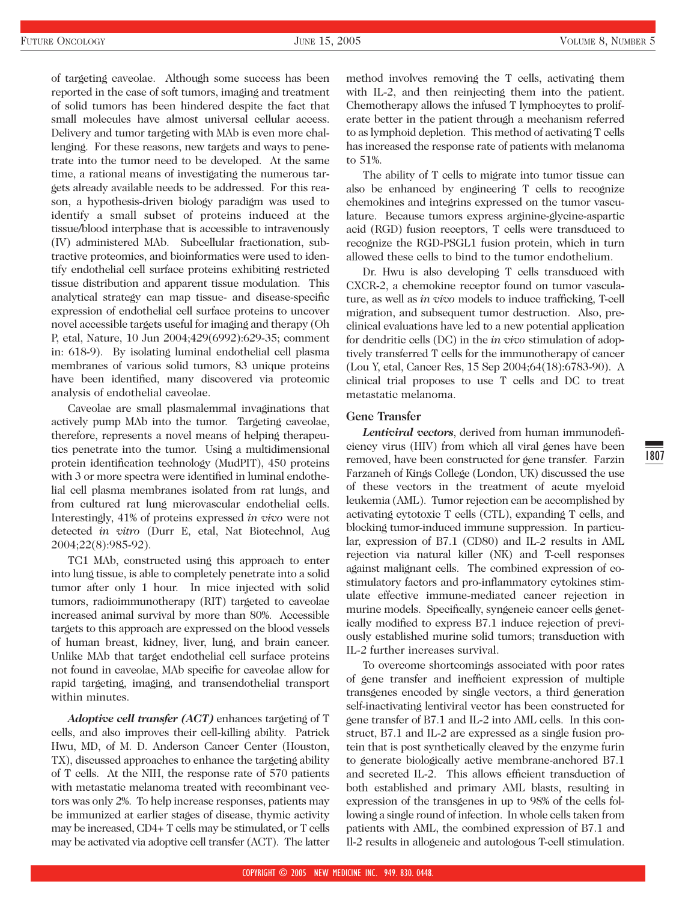of targeting caveolae. Although some success has been reported in the case of soft tumors, imaging and treatment of solid tumors has been hindered despite the fact that small molecules have almost universal cellular access. Delivery and tumor targeting with MAb is even more challenging. For these reasons, new targets and ways to penetrate into the tumor need to be developed. At the same time, a rational means of investigating the numerous targets already available needs to be addressed. For this reason, a hypothesis-driven biology paradigm was used to identify a small subset of proteins induced at the tissue/blood interphase that is accessible to intravenously (IV) administered MAb. Subcellular fractionation, subtractive proteomics, and bioinformatics were used to identify endothelial cell surface proteins exhibiting restricted tissue distribution and apparent tissue modulation. This analytical strategy can map tissue- and disease-specific expression of endothelial cell surface proteins to uncover novel accessible targets useful for imaging and therapy (Oh P, etal, Nature, 10 Jun 2004;429(6992):629-35; comment in: 618-9). By isolating luminal endothelial cell plasma membranes of various solid tumors, 83 unique proteins have been identified, many discovered via proteomic analysis of endothelial caveolae.

Caveolae are small plasmalemmal invaginations that actively pump MAb into the tumor. Targeting caveolae, therefore, represents a novel means of helping therapeutics penetrate into the tumor. Using a multidimensional protein identification technology (MudPIT), 450 proteins with 3 or more spectra were identified in luminal endothelial cell plasma membranes isolated from rat lungs, and from cultured rat lung microvascular endothelial cells. Interestingly, 41% of proteins expressed *in vivo* were not detected *in vitro* (Durr E, etal, Nat Biotechnol, Aug 2004;22(8):985-92).

TC1 MAb, constructed using this approach to enter into lung tissue, is able to completely penetrate into a solid tumor after only 1 hour. In mice injected with solid tumors, radioimmunotherapy (RIT) targeted to caveolae increased animal survival by more than 80%. Accessible targets to this approach are expressed on the blood vessels of human breast, kidney, liver, lung, and brain cancer. Unlike MAb that target endothelial cell surface proteins not found in caveolae, MAb specific for caveolae allow for rapid targeting, imaging, and transendothelial transport within minutes.

*Adoptive cell transfer (ACT)* enhances targeting of T cells, and also improves their cell-killing ability. Patrick Hwu, MD, of M. D. Anderson Cancer Center (Houston, TX), discussed approaches to enhance the targeting ability of T cells. At the NIH, the response rate of 570 patients with metastatic melanoma treated with recombinant vectors was only 2%. To help increase responses, patients may be immunized at earlier stages of disease, thymic activity may be increased, CD4+ T cells may be stimulated, or T cells may be activated via adoptive cell transfer (ACT). The latter method involves removing the T cells, activating them with IL-2, and then reinjecting them into the patient. Chemotherapy allows the infused T lymphocytes to proliferate better in the patient through a mechanism referred to as lymphoid depletion. This method of activating T cells has increased the response rate of patients with melanoma to 51%.

The ability of T cells to migrate into tumor tissue can also be enhanced by engineering T cells to recognize chemokines and integrins expressed on the tumor vasculature. Because tumors express arginine-glycine-aspartic acid (RGD) fusion receptors, T cells were transduced to recognize the RGD-PSGL1 fusion protein, which in turn allowed these cells to bind to the tumor endothelium.

Dr. Hwu is also developing T cells transduced with CXCR-2, a chemokine receptor found on tumor vasculature, as well as *in vivo* models to induce trafficking, T-cell migration, and subsequent tumor destruction. Also, preclinical evaluations have led to a new potential application for dendritic cells (DC) in the *in vivo* stimulation of adoptively transferred T cells for the immunotherapy of cancer (Lou Y, etal, Cancer Res, 15 Sep 2004;64(18):6783-90). A clinical trial proposes to use T cells and DC to treat metastatic melanoma.

#### **Gene Transfer**

*Lentiviral vectors*, derived from human immunodeficiency virus (HIV) from which all viral genes have been removed, have been constructed for gene transfer. Farzin Farzaneh of Kings College (London, UK) discussed the use of these vectors in the treatment of acute myeloid leukemia (AML). Tumor rejection can be accomplished by activating cytotoxic T cells (CTL), expanding T cells, and blocking tumor-induced immune suppression. In particular, expression of B7.1 (CD80) and IL-2 results in AML rejection via natural killer (NK) and T-cell responses against malignant cells. The combined expression of costimulatory factors and pro-inflammatory cytokines stimulate effective immune-mediated cancer rejection in murine models. Specifically, syngeneic cancer cells genetically modified to express B7.1 induce rejection of previously established murine solid tumors; transduction with IL-2 further increases survival.

To overcome shortcomings associated with poor rates of gene transfer and inefficient expression of multiple transgenes encoded by single vectors, a third generation self-inactivating lentiviral vector has been constructed for gene transfer of B7.1 and IL-2 into AML cells. In this construct, B7.1 and IL-2 are expressed as a single fusion protein that is post synthetically cleaved by the enzyme furin to generate biologically active membrane-anchored B7.1 and secreted IL-2. This allows efficient transduction of both established and primary AML blasts, resulting in expression of the transgenes in up to 98% of the cells following a single round of infection. In whole cells taken from patients with AML, the combined expression of B7.1 and Il-2 results in allogeneic and autologous T-cell stimulation.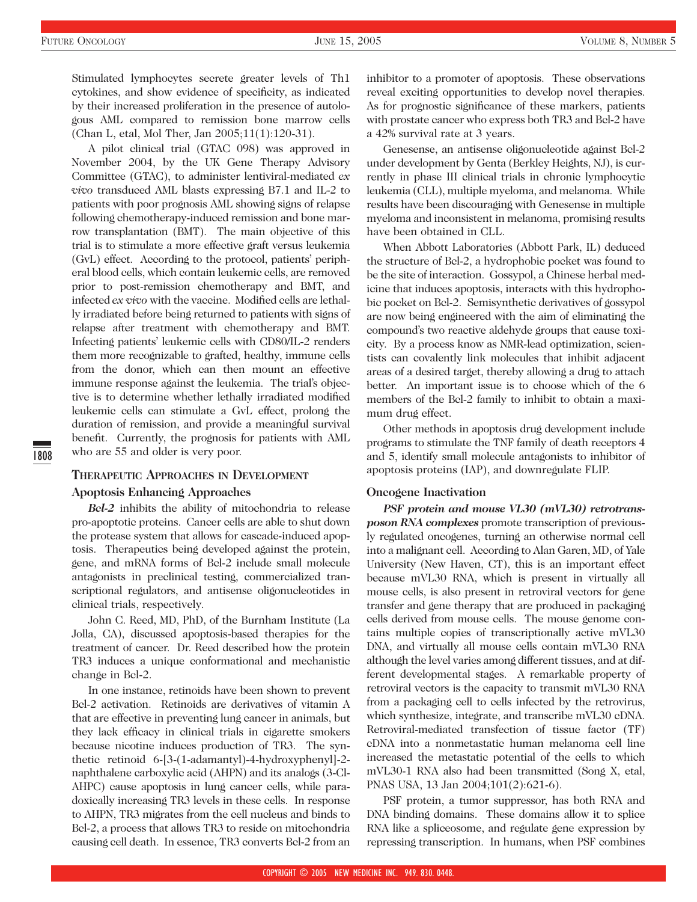Stimulated lymphocytes secrete greater levels of Th1 cytokines, and show evidence of specificity, as indicated by their increased proliferation in the presence of autologous AML compared to remission bone marrow cells (Chan L, etal, Mol Ther, Jan 2005;11(1):120-31).

A pilot clinical trial (GTAC 098) was approved in November 2004, by the UK Gene Therapy Advisory Committee (GTAC), to administer lentiviral-mediated *ex vivo* transduced AML blasts expressing B7.1 and IL-2 to patients with poor prognosis AML showing signs of relapse following chemotherapy-induced remission and bone marrow transplantation (BMT). The main objective of this trial is to stimulate a more effective graft versus leukemia (GvL) effect. According to the protocol, patients' peripheral blood cells, which contain leukemic cells, are removed prior to post-remission chemotherapy and BMT, and infected *ex vivo* with the vaccine. Modified cells are lethally irradiated before being returned to patients with signs of relapse after treatment with chemotherapy and BMT. Infecting patients' leukemic cells with CD80/IL-2 renders them more recognizable to grafted, healthy, immune cells from the donor, which can then mount an effective immune response against the leukemia. The trial's objective is to determine whether lethally irradiated modified leukemic cells can stimulate a GvL effect, prolong the duration of remission, and provide a meaningful survival benefit. Currently, the prognosis for patients with AML who are 55 and older is very poor.

## **THERAPEUTIC APPROACHES IN DEVELOPMENT**

#### **Apoptosis Enhancing Approaches**

*Bcl-2* inhibits the ability of mitochondria to release pro-apoptotic proteins. Cancer cells are able to shut down the protease system that allows for cascade-induced apoptosis. Therapeutics being developed against the protein, gene, and mRNA forms of Bcl-2 include small molecule antagonists in preclinical testing, commercialized transcriptional regulators, and antisense oligonucleotides in clinical trials, respectively.

John C. Reed, MD, PhD, of the Burnham Institute (La Jolla, CA), discussed apoptosis-based therapies for the treatment of cancer. Dr. Reed described how the protein TR3 induces a unique conformational and mechanistic change in Bcl-2.

In one instance, retinoids have been shown to prevent Bcl-2 activation. Retinoids are derivatives of vitamin A that are effective in preventing lung cancer in animals, but they lack efficacy in clinical trials in cigarette smokers because nicotine induces production of TR3. The synthetic retinoid 6-[3-(1-adamantyl)-4-hydroxyphenyl]-2 naphthalene carboxylic acid (AHPN) and its analogs (3-Cl-AHPC) cause apoptosis in lung cancer cells, while paradoxically increasing TR3 levels in these cells. In response to AHPN, TR3 migrates from the cell nucleus and binds to Bcl-2, a process that allows TR3 to reside on mitochondria causing cell death. In essence, TR3 converts Bcl-2 from an

inhibitor to a promoter of apoptosis. These observations reveal exciting opportunities to develop novel therapies. As for prognostic significance of these markers, patients with prostate cancer who express both TR3 and Bcl-2 have a 42% survival rate at 3 years.

Genesense, an antisense oligonucleotide against Bcl-2 under development by Genta (Berkley Heights, NJ), is currently in phase III clinical trials in chronic lymphocytic leukemia (CLL), multiple myeloma, and melanoma. While results have been discouraging with Genesense in multiple myeloma and inconsistent in melanoma, promising results have been obtained in CLL.

When Abbott Laboratories (Abbott Park, IL) deduced the structure of Bcl-2, a hydrophobic pocket was found to be the site of interaction. Gossypol, a Chinese herbal medicine that induces apoptosis, interacts with this hydrophobic pocket on Bcl-2. Semisynthetic derivatives of gossypol are now being engineered with the aim of eliminating the compound's two reactive aldehyde groups that cause toxicity. By a process know as NMR-lead optimization, scientists can covalently link molecules that inhibit adjacent areas of a desired target, thereby allowing a drug to attach better. An important issue is to choose which of the 6 members of the Bcl-2 family to inhibit to obtain a maximum drug effect.

Other methods in apoptosis drug development include programs to stimulate the TNF family of death receptors 4 and 5, identify small molecule antagonists to inhibitor of apoptosis proteins (IAP), and downregulate FLIP.

#### **Oncogene Inactivation**

*PSF protein and mouse VL30 (mVL30) retrotransposon RNA complexes* promote transcription of previously regulated oncogenes, turning an otherwise normal cell into a malignant cell. According to Alan Garen, MD, of Yale University (New Haven, CT), this is an important effect because mVL30 RNA, which is present in virtually all mouse cells, is also present in retroviral vectors for gene transfer and gene therapy that are produced in packaging cells derived from mouse cells. The mouse genome contains multiple copies of transcriptionally active mVL30 DNA, and virtually all mouse cells contain mVL30 RNA although the level varies among different tissues, and at different developmental stages. A remarkable property of retroviral vectors is the capacity to transmit mVL30 RNA from a packaging cell to cells infected by the retrovirus, which synthesize, integrate, and transcribe mVL30 cDNA. Retroviral-mediated transfection of tissue factor (TF) cDNA into a nonmetastatic human melanoma cell line increased the metastatic potential of the cells to which mVL30-1 RNA also had been transmitted (Song X, etal, PNAS USA, 13 Jan 2004;101(2):621-6).

PSF protein, a tumor suppressor, has both RNA and DNA binding domains. These domains allow it to splice RNA like a spliceosome, and regulate gene expression by repressing transcription. In humans, when PSF combines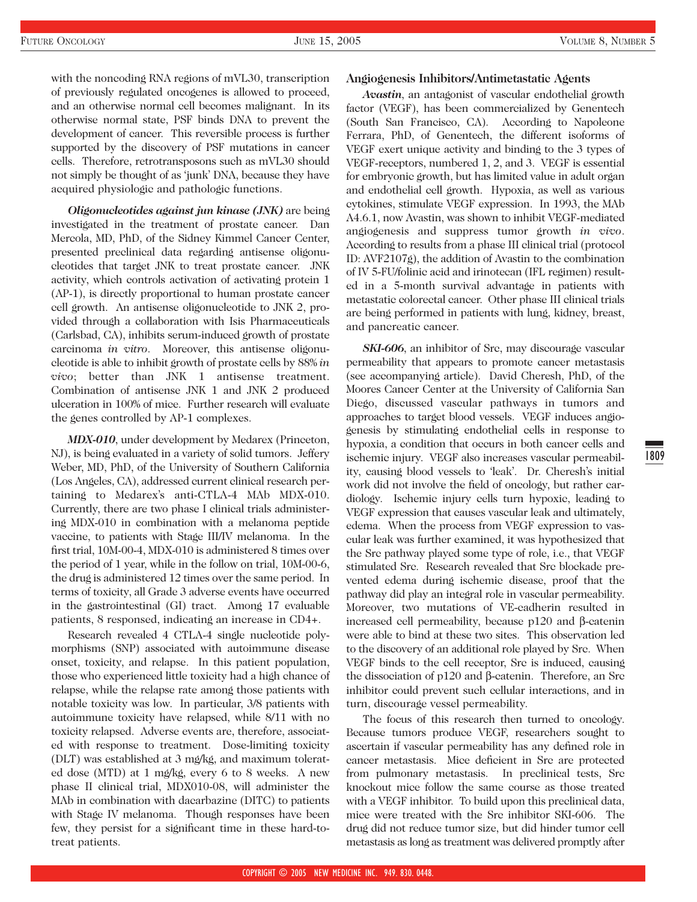with the noncoding RNA regions of mVL30, transcription of previously regulated oncogenes is allowed to proceed, and an otherwise normal cell becomes malignant. In its otherwise normal state, PSF binds DNA to prevent the development of cancer. This reversible process is further supported by the discovery of PSF mutations in cancer cells. Therefore, retrotransposons such as mVL30 should not simply be thought of as 'junk' DNA, because they have acquired physiologic and pathologic functions.

*Oligonucleotides against jun kinase (JNK)* are being investigated in the treatment of prostate cancer. Dan Mercola, MD, PhD, of the Sidney Kimmel Cancer Center, presented preclinical data regarding antisense oligonucleotides that target JNK to treat prostate cancer. JNK activity, which controls activation of activating protein 1 (AP-1), is directly proportional to human prostate cancer cell growth. An antisense oligonucleotide to JNK 2, provided through a collaboration with Isis Pharmaceuticals (Carlsbad, CA), inhibits serum-induced growth of prostate carcinoma *in vitro*. Moreover, this antisense oligonucleotide is able to inhibit growth of prostate cells by 88% *in vivo*; better than JNK 1 antisense treatment. Combination of antisense JNK 1 and JNK 2 produced ulceration in 100% of mice. Further research will evaluate the genes controlled by AP-1 complexes.

*MDX-010*, under development by Medarex (Princeton, NJ), is being evaluated in a variety of solid tumors. Jeffery Weber, MD, PhD, of the University of Southern California (Los Angeles, CA), addressed current clinical research pertaining to Medarex's anti-CTLA-4 MAb MDX-010. Currently, there are two phase I clinical trials administering MDX-010 in combination with a melanoma peptide vaccine, to patients with Stage III/IV melanoma. In the first trial, 10M-00-4, MDX-010 is administered 8 times over the period of 1 year, while in the follow on trial, 10M-00-6, the drug is administered 12 times over the same period. In terms of toxicity, all Grade 3 adverse events have occurred in the gastrointestinal (GI) tract. Among 17 evaluable patients, 8 responsed, indicating an increase in CD4+.

Research revealed 4 CTLA-4 single nucleotide polymorphisms (SNP) associated with autoimmune disease onset, toxicity, and relapse. In this patient population, those who experienced little toxicity had a high chance of relapse, while the relapse rate among those patients with notable toxicity was low. In particular, 3/8 patients with autoimmune toxicity have relapsed, while 8/11 with no toxicity relapsed. Adverse events are, therefore, associated with response to treatment. Dose-limiting toxicity (DLT) was established at 3 mg/kg, and maximum tolerated dose (MTD) at 1 mg/kg, every 6 to 8 weeks. A new phase II clinical trial, MDX010-08, will administer the MAb in combination with dacarbazine (DITC) to patients with Stage IV melanoma. Though responses have been few, they persist for a significant time in these hard-totreat patients.

#### **Angiogenesis Inhibitors/Antimetastatic Agents**

*Avastin*, an antagonist of vascular endothelial growth factor (VEGF), has been commercialized by Genentech (South San Francisco, CA). According to Napoleone Ferrara, PhD, of Genentech, the different isoforms of VEGF exert unique activity and binding to the 3 types of VEGF-receptors, numbered 1, 2, and 3. VEGF is essential for embryonic growth, but has limited value in adult organ and endothelial cell growth. Hypoxia, as well as various cytokines, stimulate VEGF expression. In 1993, the MAb A4.6.1, now Avastin, was shown to inhibit VEGF-mediated angiogenesis and suppress tumor growth *in vivo*. According to results from a phase III clinical trial (protocol ID: AVF2107g), the addition of Avastin to the combination of IV 5-FU/folinic acid and irinotecan (IFL regimen) resulted in a 5-month survival advantage in patients with metastatic colorectal cancer. Other phase III clinical trials are being performed in patients with lung, kidney, breast, and pancreatic cancer.

*SKI-606*, an inhibitor of Src, may discourage vascular permeability that appears to promote cancer metastasis (see accompanying article). David Cheresh, PhD, of the Moores Cancer Center at the University of California San Diego, discussed vascular pathways in tumors and approaches to target blood vessels. VEGF induces angiogenesis by stimulating endothelial cells in response to hypoxia, a condition that occurs in both cancer cells and ischemic injury. VEGF also increases vascular permeability, causing blood vessels to 'leak'. Dr. Cheresh's initial work did not involve the field of oncology, but rather cardiology. Ischemic injury cells turn hypoxic, leading to VEGF expression that causes vascular leak and ultimately, edema. When the process from VEGF expression to vascular leak was further examined, it was hypothesized that the Src pathway played some type of role, i.e., that VEGF stimulated Src. Research revealed that Src blockade prevented edema during ischemic disease, proof that the pathway did play an integral role in vascular permeability. Moreover, two mutations of VE-cadherin resulted in increased cell permeability, because p120 and β-catenin were able to bind at these two sites. This observation led to the discovery of an additional role played by Src. When VEGF binds to the cell receptor, Src is induced, causing the dissociation of p120 and β-catenin. Therefore, an Src inhibitor could prevent such cellular interactions, and in turn, discourage vessel permeability.

The focus of this research then turned to oncology. Because tumors produce VEGF, researchers sought to ascertain if vascular permeability has any defined role in cancer metastasis. Mice deficient in Src are protected from pulmonary metastasis. In preclinical tests, Src knockout mice follow the same course as those treated with a VEGF inhibitor. To build upon this preclinical data, mice were treated with the Src inhibitor SKI-606. The drug did not reduce tumor size, but did hinder tumor cell metastasis as long as treatment was delivered promptly after 1809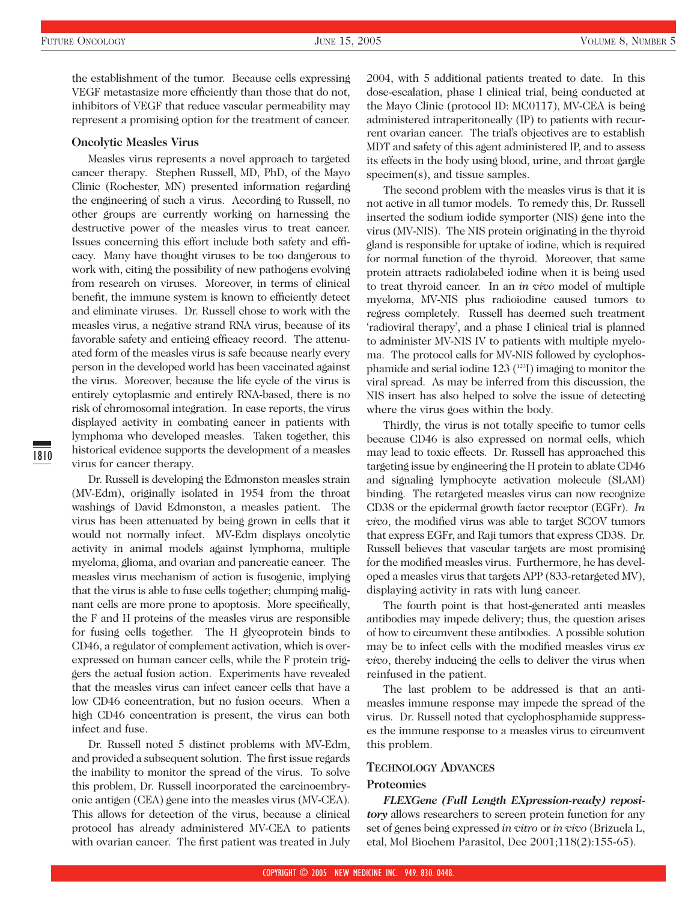the establishment of the tumor. Because cells expressing VEGF metastasize more efficiently than those that do not, inhibitors of VEGF that reduce vascular permeability may represent a promising option for the treatment of cancer.

#### **Oncolytic Measles Virus**

Measles virus represents a novel approach to targeted cancer therapy. Stephen Russell, MD, PhD, of the Mayo Clinic (Rochester, MN) presented information regarding the engineering of such a virus. According to Russell, no other groups are currently working on harnessing the destructive power of the measles virus to treat cancer. Issues concerning this effort include both safety and efficacy. Many have thought viruses to be too dangerous to work with, citing the possibility of new pathogens evolving from research on viruses. Moreover, in terms of clinical benefit, the immune system is known to efficiently detect and eliminate viruses. Dr. Russell chose to work with the measles virus, a negative strand RNA virus, because of its favorable safety and enticing efficacy record. The attenuated form of the measles virus is safe because nearly every person in the developed world has been vaccinated against the virus. Moreover, because the life cycle of the virus is entirely cytoplasmic and entirely RNA-based, there is no risk of chromosomal integration. In case reports, the virus displayed activity in combating cancer in patients with lymphoma who developed measles. Taken together, this historical evidence supports the development of a measles virus for cancer therapy.

Dr. Russell is developing the Edmonston measles strain (MV-Edm), originally isolated in 1954 from the throat washings of David Edmonston, a measles patient. The virus has been attenuated by being grown in cells that it would not normally infect. MV-Edm displays oncolytic activity in animal models against lymphoma, multiple myeloma, glioma, and ovarian and pancreatic cancer. The measles virus mechanism of action is fusogenic, implying that the virus is able to fuse cells together; clumping malignant cells are more prone to apoptosis. More specifically, the F and H proteins of the measles virus are responsible for fusing cells together. The H glycoprotein binds to CD46, a regulator of complement activation, which is overexpressed on human cancer cells, while the F protein triggers the actual fusion action. Experiments have revealed that the measles virus can infect cancer cells that have a low CD46 concentration, but no fusion occurs. When a high CD46 concentration is present, the virus can both infect and fuse.

Dr. Russell noted 5 distinct problems with MV-Edm, and provided a subsequent solution. The first issue regards the inability to monitor the spread of the virus. To solve this problem, Dr. Russell incorporated the carcinoembryonic antigen (CEA) gene into the measles virus (MV-CEA). This allows for detection of the virus, because a clinical protocol has already administered MV-CEA to patients with ovarian cancer. The first patient was treated in July

2004, with 5 additional patients treated to date. In this dose-escalation, phase I clinical trial, being conducted at the Mayo Clinic (protocol ID: MC0117), MV-CEA is being administered intraperitoneally (IP) to patients with recurrent ovarian cancer. The trial's objectives are to establish MDT and safety of this agent administered IP, and to assess its effects in the body using blood, urine, and throat gargle specimen(s), and tissue samples.

The second problem with the measles virus is that it is not active in all tumor models. To remedy this, Dr. Russell inserted the sodium iodide symporter (NIS) gene into the virus (MV-NIS). The NIS protein originating in the thyroid gland is responsible for uptake of iodine, which is required for normal function of the thyroid. Moreover, that same protein attracts radiolabeled iodine when it is being used to treat thyroid cancer. In an *in vivo* model of multiple myeloma, MV-NIS plus radioiodine caused tumors to regress completely. Russell has deemed such treatment 'radioviral therapy', and a phase I clinical trial is planned to administer MV-NIS IV to patients with multiple myeloma. The protocol calls for MV-NIS followed by cyclophosphamide and serial iodine 123 (<sup>123</sup>I) imaging to monitor the viral spread. As may be inferred from this discussion, the NIS insert has also helped to solve the issue of detecting where the virus goes within the body.

Thirdly, the virus is not totally specific to tumor cells because CD46 is also expressed on normal cells, which may lead to toxic effects. Dr. Russell has approached this targeting issue by engineering the H protein to ablate CD46 and signaling lymphocyte activation molecule (SLAM) binding. The retargeted measles virus can now recognize CD38 or the epidermal growth factor receptor (EGFr). *In vivo*, the modified virus was able to target SCOV tumors that express EGFr, and Raji tumors that express CD38. Dr. Russell believes that vascular targets are most promising for the modified measles virus. Furthermore, he has developed a measles virus that targets APP (833-retargeted MV), displaying activity in rats with lung cancer.

The fourth point is that host-generated anti measles antibodies may impede delivery; thus, the question arises of how to circumvent these antibodies. A possible solution may be to infect cells with the modified measles virus *ex vivo*, thereby inducing the cells to deliver the virus when reinfused in the patient.

The last problem to be addressed is that an antimeasles immune response may impede the spread of the virus. Dr. Russell noted that cyclophosphamide suppresses the immune response to a measles virus to circumvent this problem.

#### **TECHNOLOGY ADVANCES**

#### **Proteomics**

*FLEXGene (Full Length EXpression-ready) repository* allows researchers to screen protein function for any set of genes being expressed *in vitro* or *in vivo* (Brizuela L, etal, Mol Biochem Parasitol, Dec 2001;118(2):155-65).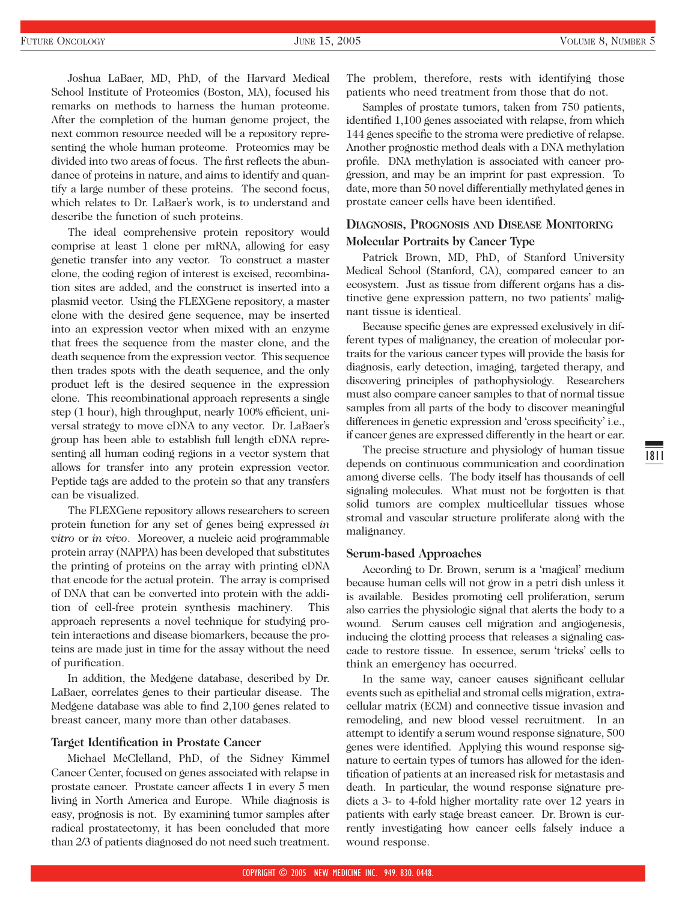Joshua LaBaer, MD, PhD, of the Harvard Medical School Institute of Proteomics (Boston, MA), focused his remarks on methods to harness the human proteome. After the completion of the human genome project, the next common resource needed will be a repository representing the whole human proteome. Proteomics may be divided into two areas of focus. The first reflects the abundance of proteins in nature, and aims to identify and quantify a large number of these proteins. The second focus, which relates to Dr. LaBaer's work, is to understand and describe the function of such proteins.

The ideal comprehensive protein repository would comprise at least 1 clone per mRNA, allowing for easy genetic transfer into any vector. To construct a master clone, the coding region of interest is excised, recombination sites are added, and the construct is inserted into a plasmid vector. Using the FLEXGene repository, a master clone with the desired gene sequence, may be inserted into an expression vector when mixed with an enzyme that frees the sequence from the master clone, and the death sequence from the expression vector. This sequence then trades spots with the death sequence, and the only product left is the desired sequence in the expression clone. This recombinational approach represents a single step (1 hour), high throughput, nearly 100% efficient, universal strategy to move cDNA to any vector. Dr. LaBaer's group has been able to establish full length cDNA representing all human coding regions in a vector system that allows for transfer into any protein expression vector. Peptide tags are added to the protein so that any transfers can be visualized.

The FLEXGene repository allows researchers to screen protein function for any set of genes being expressed *in vitro* or *in vivo*. Moreover, a nucleic acid programmable protein array (NAPPA) has been developed that substitutes the printing of proteins on the array with printing cDNA that encode for the actual protein. The array is comprised of DNA that can be converted into protein with the addition of cell-free protein synthesis machinery. This approach represents a novel technique for studying protein interactions and disease biomarkers, because the proteins are made just in time for the assay without the need of purification.

In addition, the Medgene database, described by Dr. LaBaer, correlates genes to their particular disease. The Medgene database was able to find 2,100 genes related to breast cancer, many more than other databases.

## **Target Identification in Prostate Cancer**

Michael McClelland, PhD, of the Sidney Kimmel Cancer Center, focused on genes associated with relapse in prostate cancer. Prostate cancer affects 1 in every 5 men living in North America and Europe. While diagnosis is easy, prognosis is not. By examining tumor samples after radical prostatectomy, it has been concluded that more than 2/3 of patients diagnosed do not need such treatment.

The problem, therefore, rests with identifying those patients who need treatment from those that do not.

Samples of prostate tumors, taken from 750 patients, identified 1,100 genes associated with relapse, from which 144 genes specific to the stroma were predictive of relapse. Another prognostic method deals with a DNA methylation profile. DNA methylation is associated with cancer progression, and may be an imprint for past expression. To date, more than 50 novel differentially methylated genes in prostate cancer cells have been identified.

# **DIAGNOSIS, PROGNOSIS AND DISEASE MONITORING Molecular Portraits by Cancer Type**

Patrick Brown, MD, PhD, of Stanford University Medical School (Stanford, CA), compared cancer to an ecosystem. Just as tissue from different organs has a distinctive gene expression pattern, no two patients' malignant tissue is identical.

Because specific genes are expressed exclusively in different types of malignancy, the creation of molecular portraits for the various cancer types will provide the basis for diagnosis, early detection, imaging, targeted therapy, and discovering principles of pathophysiology. Researchers must also compare cancer samples to that of normal tissue samples from all parts of the body to discover meaningful differences in genetic expression and 'cross specificity' i.e., if cancer genes are expressed differently in the heart or ear.

The precise structure and physiology of human tissue depends on continuous communication and coordination among diverse cells. The body itself has thousands of cell signaling molecules. What must not be forgotten is that solid tumors are complex multicellular tissues whose stromal and vascular structure proliferate along with the malignancy.

#### **Serum-based Approaches**

According to Dr. Brown, serum is a 'magical' medium because human cells will not grow in a petri dish unless it is available. Besides promoting cell proliferation, serum also carries the physiologic signal that alerts the body to a wound. Serum causes cell migration and angiogenesis, inducing the clotting process that releases a signaling cascade to restore tissue. In essence, serum 'tricks' cells to think an emergency has occurred.

In the same way, cancer causes significant cellular events such as epithelial and stromal cells migration, extracellular matrix (ECM) and connective tissue invasion and remodeling, and new blood vessel recruitment. In an attempt to identify a serum wound response signature, 500 genes were identified. Applying this wound response signature to certain types of tumors has allowed for the identification of patients at an increased risk for metastasis and death. In particular, the wound response signature predicts a 3- to 4-fold higher mortality rate over 12 years in patients with early stage breast cancer. Dr. Brown is currently investigating how cancer cells falsely induce a wound response.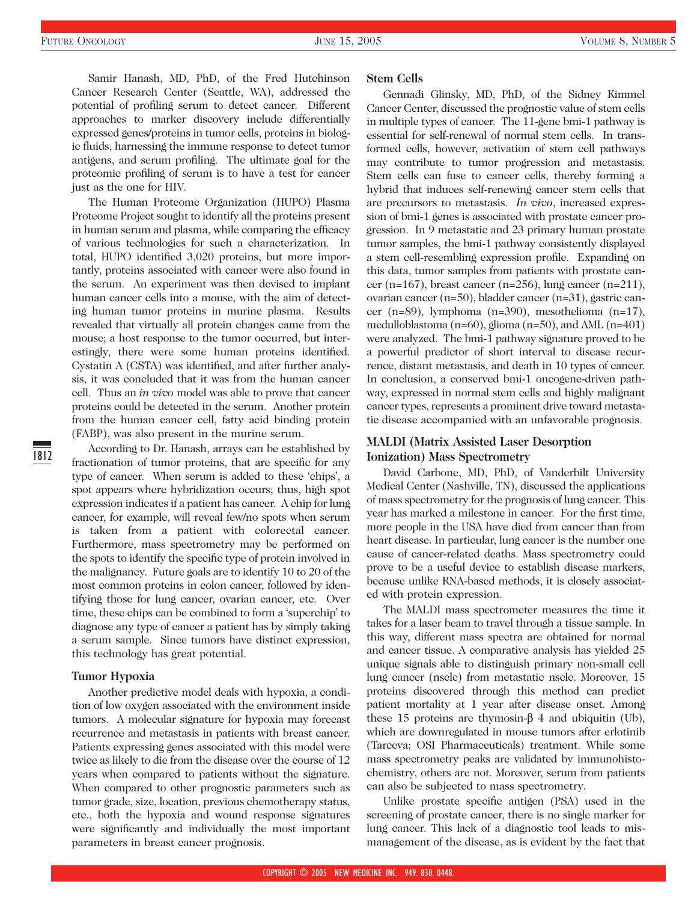Samir Hanash, MD, PhD, of the Fred Hutchinson Cancer Research Center (Seattle, WA), addressed the potential of profiling serum to detect cancer. Different approaches to marker discovery include differentially expressed genes/proteins in tumor cells, proteins in biologic fluids, harnessing the immune response to detect tumor antigens, and serum profiling. The ultimate goal for the proteomic profiling of serum is to have a test for cancer just as the one for HIV.

The Human Proteome Organization (HUPO) Plasma Proteome Project sought to identify all the proteins present in human serum and plasma, while comparing the efficacy of various technologies for such a characterization. In total, HUPO identified 3,020 proteins, but more importantly, proteins associated with cancer were also found in the serum. An experiment was then devised to implant human cancer cells into a mouse, with the aim of detecting human tumor proteins in murine plasma. Results revealed that virtually all protein changes came from the mouse; a host response to the tumor occurred, but interestingly, there were some human proteins identified. Cystatin A (CSTA) was identified, and after further analysis, it was concluded that it was from the human cancer cell. Thus an *in vivo* model was able to prove that cancer proteins could be detected in the serum. Another protein from the human cancer cell, fatty acid binding protein (FABP), was also present in the murine serum.

According to Dr. Hanash, arrays can be established by fractionation of tumor proteins, that are specific for any type of cancer. When serum is added to these 'chips', a spot appears where hybridization occurs; thus, high spot expression indicates if a patient has cancer. A chip for lung cancer, for example, will reveal few/no spots when serum is taken from a patient with colorectal cancer. Furthermore, mass spectrometry may be performed on the spots to identify the specific type of protein involved in the malignancy. Future goals are to identify 10 to 20 of the most common proteins in colon cancer, followed by identifying those for lung cancer, ovarian cancer, etc. Over time, these chips can be combined to form a 'superchip' to diagnose any type of cancer a patient has by simply taking a serum sample. Since tumors have distinct expression, this technology has great potential.

#### **Tumor Hypoxia**

1812

Another predictive model deals with hypoxia, a condition of low oxygen associated with the environment inside tumors. A molecular signature for hypoxia may forecast recurrence and metastasis in patients with breast cancer. Patients expressing genes associated with this model were twice as likely to die from the disease over the course of 12 years when compared to patients without the signature. When compared to other prognostic parameters such as tumor grade, size, location, previous chemotherapy status, etc., both the hypoxia and wound response signatures were significantly and individually the most important parameters in breast cancer prognosis.

#### **Stem Cells**

Gennadi Glinsky, MD, PhD, of the Sidney Kimmel Cancer Center, discussed the prognostic value of stem cells in multiple types of cancer. The 11-gene bmi-1 pathway is essential for self-renewal of normal stem cells. In transformed cells, however, activation of stem cell pathways may contribute to tumor progression and metastasis. Stem cells can fuse to cancer cells, thereby forming a hybrid that induces self-renewing cancer stem cells that are precursors to metastasis. *In vivo*, increased expression of bmi-1 genes is associated with prostate cancer progression. In 9 metastatic and 23 primary human prostate tumor samples, the bmi-1 pathway consistently displayed a stem cell-resembling expression profile. Expanding on this data, tumor samples from patients with prostate cancer (n=167), breast cancer (n=256), lung cancer (n=211), ovarian cancer (n=50), bladder cancer (n=31), gastric cancer (n=89), lymphoma (n=390), mesothelioma (n=17), medulloblastoma (n=60), glioma (n=50), and AML (n=401) were analyzed. The bmi-1 pathway signature proved to be a powerful predictor of short interval to disease recurrence, distant metastasis, and death in 10 types of cancer. In conclusion, a conserved bmi-1 oncogene-driven pathway, expressed in normal stem cells and highly malignant cancer types, represents a prominent drive toward metastatic disease accompanied with an unfavorable prognosis.

# **MALDI (Matrix Assisted Laser Desorption Ionization) Mass Spectrometry**

David Carbone, MD, PhD, of Vanderbilt University Medical Center (Nashville, TN), discussed the applications of mass spectrometry for the prognosis of lung cancer. This year has marked a milestone in cancer. For the first time, more people in the USA have died from cancer than from heart disease. In particular, lung cancer is the number one cause of cancer-related deaths. Mass spectrometry could prove to be a useful device to establish disease markers, because unlike RNA-based methods, it is closely associated with protein expression.

The MALDI mass spectrometer measures the time it takes for a laser beam to travel through a tissue sample. In this way, different mass spectra are obtained for normal and cancer tissue. A comparative analysis has yielded 25 unique signals able to distinguish primary non-small cell lung cancer (nsclc) from metastatic nsclc. Moreover, 15 proteins discovered through this method can predict patient mortality at 1 year after disease onset. Among these 15 proteins are thymosin-β 4 and ubiquitin (Ub), which are downregulated in mouse tumors after erlotinib (Tarceva; OSI Pharmaceuticals) treatment. While some mass spectrometry peaks are validated by immunohistochemistry, others are not. Moreover, serum from patients can also be subjected to mass spectrometry.

Unlike prostate specific antigen (PSA) used in the screening of prostate cancer, there is no single marker for lung cancer. This lack of a diagnostic tool leads to mismanagement of the disease, as is evident by the fact that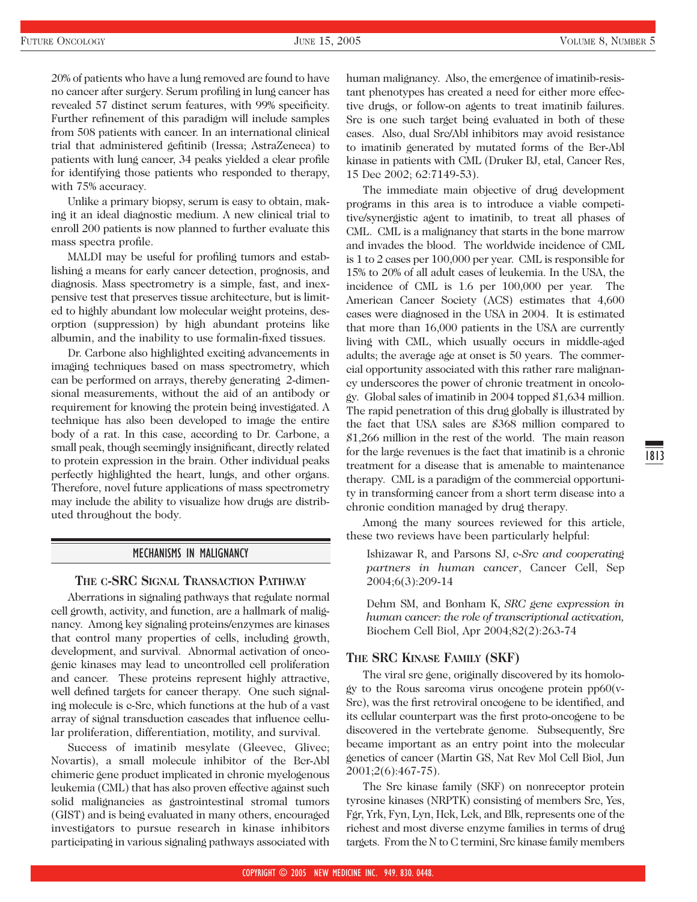1813

20% of patients who have a lung removed are found to have no cancer after surgery. Serum profiling in lung cancer has revealed 57 distinct serum features, with 99% specificity. Further refinement of this paradigm will include samples from 508 patients with cancer. In an international clinical trial that administered gefitinib (Iressa; AstraZeneca) to patients with lung cancer, 34 peaks yielded a clear profile for identifying those patients who responded to therapy, with 75% accuracy.

Unlike a primary biopsy, serum is easy to obtain, making it an ideal diagnostic medium. A new clinical trial to enroll 200 patients is now planned to further evaluate this mass spectra profile.

MALDI may be useful for profiling tumors and establishing a means for early cancer detection, prognosis, and diagnosis. Mass spectrometry is a simple, fast, and inexpensive test that preserves tissue architecture, but is limited to highly abundant low molecular weight proteins, desorption (suppression) by high abundant proteins like albumin, and the inability to use formalin-fixed tissues.

Dr. Carbone also highlighted exciting advancements in imaging techniques based on mass spectrometry, which can be performed on arrays, thereby generating 2-dimensional measurements, without the aid of an antibody or requirement for knowing the protein being investigated. A technique has also been developed to image the entire body of a rat. In this case, according to Dr. Carbone, a small peak, though seemingly insignificant, directly related to protein expression in the brain. Other individual peaks perfectly highlighted the heart, lungs, and other organs. Therefore, novel future applications of mass spectrometry may include the ability to visualize how drugs are distributed throughout the body.

## MECHANISMS IN MALIGNANCY

## **THE C-SRC SIGNAL TRANSACTION PATHWAY**

Aberrations in signaling pathways that regulate normal cell growth, activity, and function, are a hallmark of malignancy. Among key signaling proteins/enzymes are kinases that control many properties of cells, including growth, development, and survival. Abnormal activation of oncogenic kinases may lead to uncontrolled cell proliferation and cancer. These proteins represent highly attractive, well defined targets for cancer therapy. One such signaling molecule is c-Src, which functions at the hub of a vast array of signal transduction cascades that influence cellular proliferation, differentiation, motility, and survival.

Success of imatinib mesylate (Gleevec, Glivec; Novartis), a small molecule inhibitor of the Bcr-Abl chimeric gene product implicated in chronic myelogenous leukemia (CML) that has also proven effective against such solid malignancies as gastrointestinal stromal tumors (GIST) and is being evaluated in many others, encouraged investigators to pursue research in kinase inhibitors participating in various signaling pathways associated with human malignancy. Also, the emergence of imatinib-resistant phenotypes has created a need for either more effective drugs, or follow-on agents to treat imatinib failures. Src is one such target being evaluated in both of these cases. Also, dual Src/Abl inhibitors may avoid resistance to imatinib generated by mutated forms of the Bcr-Abl kinase in patients with CML (Druker BJ, etal, Cancer Res, 15 Dec 2002; 62:7149-53).

The immediate main objective of drug development programs in this area is to introduce a viable competitive/synergistic agent to imatinib, to treat all phases of CML. CML is a malignancy that starts in the bone marrow and invades the blood. The worldwide incidence of CML is 1 to 2 cases per 100,000 per year. CML is responsible for 15% to 20% of all adult cases of leukemia. In the USA, the incidence of CML is 1.6 per 100,000 per year. The American Cancer Society (ACS) estimates that 4,600 cases were diagnosed in the USA in 2004. It is estimated that more than 16,000 patients in the USA are currently living with CML, which usually occurs in middle-aged adults; the average age at onset is 50 years. The commercial opportunity associated with this rather rare malignancy underscores the power of chronic treatment in oncology. Global sales of imatinib in 2004 topped \$1,634 million. The rapid penetration of this drug globally is illustrated by the fact that USA sales are \$368 million compared to \$1,266 million in the rest of the world. The main reason for the large revenues is the fact that imatinib is a chronic treatment for a disease that is amenable to maintenance therapy. CML is a paradigm of the commercial opportunity in transforming cancer from a short term disease into a chronic condition managed by drug therapy.

Among the many sources reviewed for this article, these two reviews have been particularly helpful:

Ishizawar R, and Parsons SJ, *c-Src and cooperating partners in human cancer*, Cancer Cell, Sep 2004;6(3):209-14

Dehm SM, and Bonham K, *SRC gene expression in human cancer: the role of transcriptional activation,* Biochem Cell Biol, Apr 2004;82(2):263-74

## **THE SRC KINASE FAMILY (SKF)**

The viral src gene, originally discovered by its homology to the Rous sarcoma virus oncogene protein pp60(v-Src), was the first retroviral oncogene to be identified, and its cellular counterpart was the first proto-oncogene to be discovered in the vertebrate genome. Subsequently, Src became important as an entry point into the molecular genetics of cancer (Martin GS, Nat Rev Mol Cell Biol, Jun 2001;2(6):467-75).

The Src kinase family (SKF) on nonreceptor protein tyrosine kinases (NRPTK) consisting of members Src, Yes, Fgr, Yrk, Fyn, Lyn, Hck, Lck, and Blk, represents one of the richest and most diverse enzyme families in terms of drug targets. From the N to C termini, Src kinase family members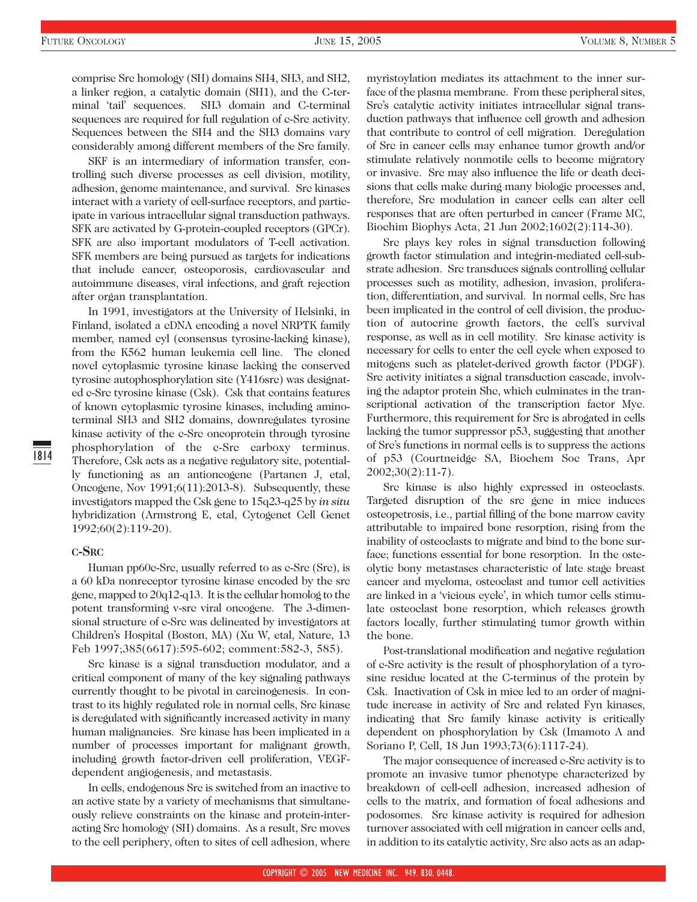comprise Src homology (SH) domains SH4, SH3, and SH2, a linker region, a catalytic domain (SH1), and the C-terminal 'tail' sequences. SH3 domain and C-terminal sequences are required for full regulation of c-Src activity. Sequences between the SH4 and the SH3 domains vary considerably among different members of the Src family.

SKF is an intermediary of information transfer, controlling such diverse processes as cell division, motility, adhesion, genome maintenance, and survival. Src kinases interact with a variety of cell-surface receptors, and participate in various intracellular signal transduction pathways. SFK are activated by G-protein-coupled receptors (GPCr). SFK are also important modulators of T-cell activation. SFK members are being pursued as targets for indications that include cancer, osteoporosis, cardiovascular and autoimmune diseases, viral infections, and graft rejection after organ transplantation.

In 1991, investigators at the University of Helsinki, in Finland, isolated a cDNA encoding a novel NRPTK family member, named cyl (consensus tyrosine-lacking kinase), from the K562 human leukemia cell line. The cloned novel cytoplasmic tyrosine kinase lacking the conserved tyrosine autophosphorylation site (Y416src) was designated c-Src tyrosine kinase (Csk). Csk that contains features of known cytoplasmic tyrosine kinases, including aminoterminal SH3 and SH2 domains, downregulates tyrosine kinase activity of the c-Src oncoprotein through tyrosine phosphorylation of the c-Src carboxy terminus. Therefore, Csk acts as a negative regulatory site, potentially functioning as an antioncogene (Partanen J, etal, Oncogene, Nov 1991;6(11):2013-8). Subsequently, these investigators mapped the Csk gene to 15q23-q25 by *in situ* hybridization (Armstrong E, etal, Cytogenet Cell Genet 1992;60(2):119-20).

#### **C-SRC**

Human pp60c-Src, usually referred to as c-Src (Src), is a 60 kDa nonreceptor tyrosine kinase encoded by the src gene, mapped to 20q12-q13. It is the cellular homolog to the potent transforming v-src viral oncogene. The 3-dimensional structure of c-Src was delineated by investigators at Children's Hospital (Boston, MA) (Xu W, etal, Nature, 13 Feb 1997;385(6617):595-602; comment:582-3, 585).

Src kinase is a signal transduction modulator, and a critical component of many of the key signaling pathways currently thought to be pivotal in carcinogenesis. In contrast to its highly regulated role in normal cells, Src kinase is deregulated with significantly increased activity in many human malignancies. Src kinase has been implicated in a number of processes important for malignant growth, including growth factor-driven cell proliferation, VEGFdependent angiogenesis, and metastasis.

In cells, endogenous Src is switched from an inactive to an active state by a variety of mechanisms that simultaneously relieve constraints on the kinase and protein-interacting Src homology (SH) domains. As a result, Src moves to the cell periphery, often to sites of cell adhesion, where myristoylation mediates its attachment to the inner surface of the plasma membrane. From these peripheral sites, Src's catalytic activity initiates intracellular signal transduction pathways that influence cell growth and adhesion that contribute to control of cell migration. Deregulation of Src in cancer cells may enhance tumor growth and/or stimulate relatively nonmotile cells to become migratory or invasive. Src may also influence the life or death decisions that cells make during many biologic processes and, therefore, Src modulation in cancer cells can alter cell responses that are often perturbed in cancer (Frame MC, Biochim Biophys Acta, 21 Jun 2002;1602(2):114-30).

Src plays key roles in signal transduction following growth factor stimulation and integrin-mediated cell-substrate adhesion. Src transduces signals controlling cellular processes such as motility, adhesion, invasion, proliferation, differentiation, and survival. In normal cells, Src has been implicated in the control of cell division, the production of autocrine growth factors, the cell's survival response, as well as in cell motility. Src kinase activity is necessary for cells to enter the cell cycle when exposed to mitogens such as platelet-derived growth factor (PDGF). Src activity initiates a signal transduction cascade, involving the adaptor protein Shc, which culminates in the transcriptional activation of the transcription factor Myc. Furthermore, this requirement for Src is abrogated in cells lacking the tumor suppressor p53, suggesting that another of Src's functions in normal cells is to suppress the actions of p53 (Courtneidge SA, Biochem Soc Trans, Apr 2002;30(2):11-7).

Src kinase is also highly expressed in osteoclasts. Targeted disruption of the src gene in mice induces osteopetrosis, i.e., partial filling of the bone marrow cavity attributable to impaired bone resorption, rising from the inability of osteoclasts to migrate and bind to the bone surface; functions essential for bone resorption. In the osteolytic bony metastases characteristic of late stage breast cancer and myeloma, osteoclast and tumor cell activities are linked in a 'vicious cycle', in which tumor cells stimulate osteoclast bone resorption, which releases growth factors locally, further stimulating tumor growth within the bone.

Post-translational modification and negative regulation of c-Src activity is the result of phosphorylation of a tyrosine residue located at the C-terminus of the protein by Csk. Inactivation of Csk in mice led to an order of magnitude increase in activity of Src and related Fyn kinases, indicating that Src family kinase activity is critically dependent on phosphorylation by Csk (Imamoto A and Soriano P, Cell, 18 Jun 1993;73(6):1117-24).

The major consequence of increased c-Src activity is to promote an invasive tumor phenotype characterized by breakdown of cell-cell adhesion, increased adhesion of cells to the matrix, and formation of focal adhesions and podosomes. Src kinase activity is required for adhesion turnover associated with cell migration in cancer cells and, in addition to its catalytic activity, Src also acts as an adap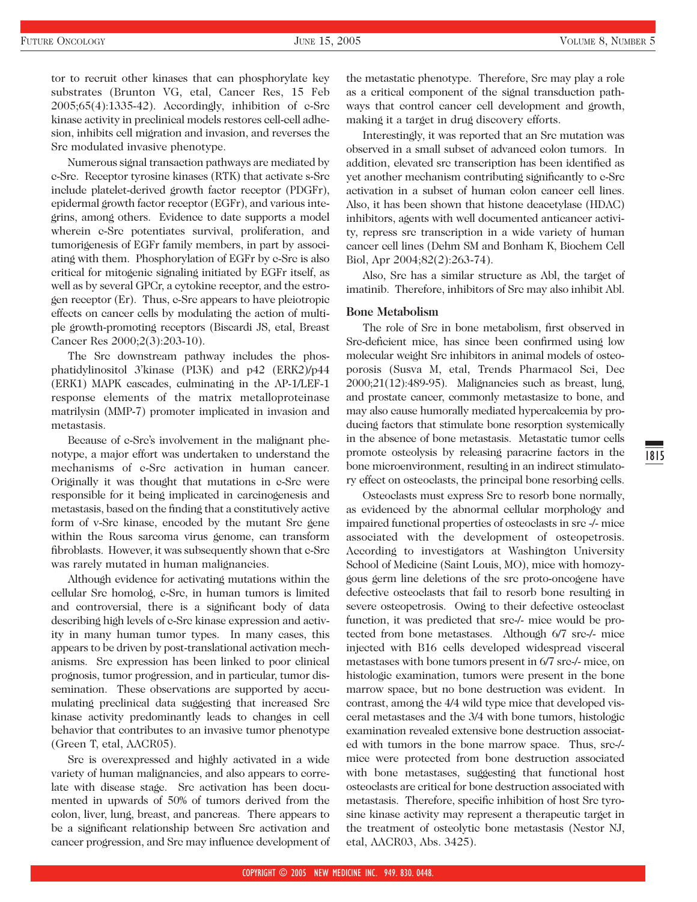tor to recruit other kinases that can phosphorylate key substrates (Brunton VG, etal, Cancer Res, 15 Feb 2005;65(4):1335-42). Accordingly, inhibition of c-Src kinase activity in preclinical models restores cell-cell adhesion, inhibits cell migration and invasion, and reverses the Src modulated invasive phenotype.

Numerous signal transaction pathways are mediated by c-Src. Receptor tyrosine kinases (RTK) that activate s-Src include platelet-derived growth factor receptor (PDGFr), epidermal growth factor receptor (EGFr), and various integrins, among others. Evidence to date supports a model wherein c-Src potentiates survival, proliferation, and tumorigenesis of EGFr family members, in part by associating with them. Phosphorylation of EGFr by c-Src is also critical for mitogenic signaling initiated by EGFr itself, as well as by several GPCr, a cytokine receptor, and the estrogen receptor (Er). Thus, c-Src appears to have pleiotropic effects on cancer cells by modulating the action of multiple growth-promoting receptors (Biscardi JS, etal, Breast Cancer Res 2000;2(3):203-10).

The Src downstream pathway includes the phosphatidylinositol 3'kinase (PI3K) and p42 (ERK2)/p44 (ERK1) MAPK cascades, culminating in the AP-1/LEF-1 response elements of the matrix metalloproteinase matrilysin (MMP-7) promoter implicated in invasion and metastasis.

Because of c-Src's involvement in the malignant phenotype, a major effort was undertaken to understand the mechanisms of c-Src activation in human cancer. Originally it was thought that mutations in c-Src were responsible for it being implicated in carcinogenesis and metastasis, based on the finding that a constitutively active form of v-Src kinase, encoded by the mutant Src gene within the Rous sarcoma virus genome, can transform fibroblasts. However, it was subsequently shown that e-Src was rarely mutated in human malignancies.

Although evidence for activating mutations within the cellular Src homolog, c-Src, in human tumors is limited and controversial, there is a significant body of data describing high levels of c-Src kinase expression and activity in many human tumor types. In many cases, this appears to be driven by post-translational activation mechanisms. Src expression has been linked to poor clinical prognosis, tumor progression, and in particular, tumor dissemination. These observations are supported by accumulating preclinical data suggesting that increased Src kinase activity predominantly leads to changes in cell behavior that contributes to an invasive tumor phenotype (Green T, etal, AACR05).

Src is overexpressed and highly activated in a wide variety of human malignancies, and also appears to correlate with disease stage. Src activation has been documented in upwards of 50% of tumors derived from the colon, liver, lung, breast, and pancreas. There appears to be a significant relationship between Src activation and cancer progression, and Src may influence development of the metastatic phenotype. Therefore, Src may play a role as a critical component of the signal transduction pathways that control cancer cell development and growth, making it a target in drug discovery efforts.

Interestingly, it was reported that an Src mutation was observed in a small subset of advanced colon tumors. In addition, elevated src transcription has been identified as yet another mechanism contributing significantly to c-Src activation in a subset of human colon cancer cell lines. Also, it has been shown that histone deacetylase (HDAC) inhibitors, agents with well documented anticancer activity, repress src transcription in a wide variety of human cancer cell lines (Dehm SM and Bonham K, Biochem Cell Biol, Apr 2004;82(2):263-74).

Also, Src has a similar structure as Abl, the target of imatinib. Therefore, inhibitors of Src may also inhibit Abl.

#### **Bone Metabolism**

The role of Src in bone metabolism, first observed in Src-deficient mice, has since been confirmed using low molecular weight Src inhibitors in animal models of osteoporosis (Susva M, etal, Trends Pharmacol Sci, Dec 2000;21(12):489-95). Malignancies such as breast, lung, and prostate cancer, commonly metastasize to bone, and may also cause humorally mediated hypercalcemia by producing factors that stimulate bone resorption systemically in the absence of bone metastasis. Metastatic tumor cells promote osteolysis by releasing paracrine factors in the bone microenvironment, resulting in an indirect stimulatory effect on osteoclasts, the principal bone resorbing cells.

Osteoclasts must express Src to resorb bone normally, as evidenced by the abnormal cellular morphology and impaired functional properties of osteoclasts in src -/- mice associated with the development of osteopetrosis. According to investigators at Washington University School of Medicine (Saint Louis, MO), mice with homozygous germ line deletions of the src proto-oncogene have defective osteoclasts that fail to resorb bone resulting in severe osteopetrosis. Owing to their defective osteoclast function, it was predicted that src-/- mice would be protected from bone metastases. Although 6/7 src-/- mice injected with B16 cells developed widespread visceral metastases with bone tumors present in 6/7 src-/- mice, on histologic examination, tumors were present in the bone marrow space, but no bone destruction was evident. In contrast, among the 4/4 wild type mice that developed visceral metastases and the 3/4 with bone tumors, histologic examination revealed extensive bone destruction associated with tumors in the bone marrow space. Thus, src-/ mice were protected from bone destruction associated with bone metastases, suggesting that functional host osteoclasts are critical for bone destruction associated with metastasis. Therefore, specific inhibition of host Src tyrosine kinase activity may represent a therapeutic target in the treatment of osteolytic bone metastasis (Nestor NJ, etal, AACR03, Abs. 3425).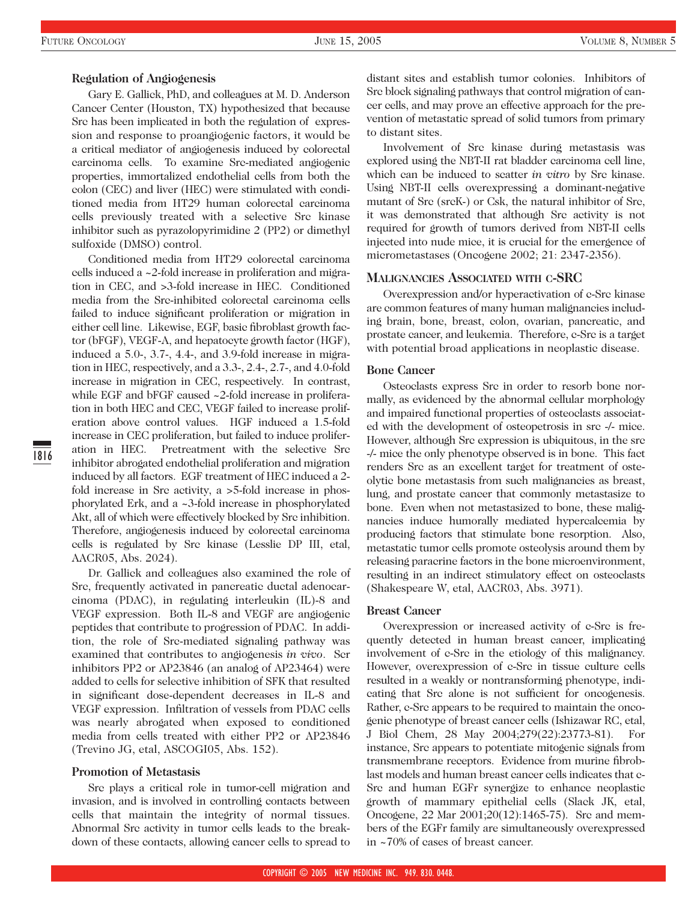1816

#### **Regulation of Angiogenesis**

Gary E. Gallick, PhD, and colleagues at M. D. Anderson Cancer Center (Houston, TX) hypothesized that because Src has been implicated in both the regulation of expression and response to proangiogenic factors, it would be a critical mediator of angiogenesis induced by colorectal carcinoma cells. To examine Src-mediated angiogenic properties, immortalized endothelial cells from both the colon (CEC) and liver (HEC) were stimulated with conditioned media from HT29 human colorectal carcinoma cells previously treated with a selective Src kinase inhibitor such as pyrazolopyrimidine 2 (PP2) or dimethyl sulfoxide (DMSO) control.

Conditioned media from HT29 colorectal carcinoma cells induced a ~2-fold increase in proliferation and migration in CEC, and >3-fold increase in HEC. Conditioned media from the Src-inhibited colorectal carcinoma cells failed to induce significant proliferation or migration in either cell line. Likewise, EGF, basic fibroblast growth factor (bFGF), VEGF-A, and hepatocyte growth factor (HGF), induced a 5.0-, 3.7-, 4.4-, and 3.9-fold increase in migration in HEC, respectively, and a 3.3-, 2.4-, 2.7-, and 4.0-fold increase in migration in CEC, respectively. In contrast, while EGF and bFGF caused ~2-fold increase in proliferation in both HEC and CEC, VEGF failed to increase proliferation above control values. HGF induced a 1.5-fold increase in CEC proliferation, but failed to induce proliferation in HEC. Pretreatment with the selective Src inhibitor abrogated endothelial proliferation and migration induced by all factors. EGF treatment of HEC induced a 2 fold increase in Src activity, a  $>$ 5-fold increase in phosphorylated Erk, and a ~3-fold increase in phosphorylated Akt, all of which were effectively blocked by Src inhibition. Therefore, angiogenesis induced by colorectal carcinoma cells is regulated by Src kinase (Lesslie DP III, etal, AACR05, Abs. 2024).

Dr. Gallick and colleagues also examined the role of Src, frequently activated in pancreatic ductal adenocarcinoma (PDAC), in regulating interleukin (IL)-8 and VEGF expression. Both IL-8 and VEGF are angiogenic peptides that contribute to progression of PDAC. In addition, the role of Src-mediated signaling pathway was examined that contributes to angiogenesis *in vivo*. Scr inhibitors PP2 or AP23846 (an analog of AP23464) were added to cells for selective inhibition of SFK that resulted in significant dose-dependent decreases in IL-8 and VEGF expression. Infiltration of vessels from PDAC cells was nearly abrogated when exposed to conditioned media from cells treated with either PP2 or AP23846 (Trevino JG, etal, ASCOGI05, Abs. 152).

#### **Promotion of Metastasis**

Src plays a critical role in tumor-cell migration and invasion, and is involved in controlling contacts between cells that maintain the integrity of normal tissues. Abnormal Src activity in tumor cells leads to the breakdown of these contacts, allowing cancer cells to spread to distant sites and establish tumor colonies. Inhibitors of Src block signaling pathways that control migration of cancer cells, and may prove an effective approach for the prevention of metastatic spread of solid tumors from primary to distant sites.

Involvement of Src kinase during metastasis was explored using the NBT-II rat bladder carcinoma cell line, which can be induced to scatter *in vitro* by Src kinase. Using NBT-II cells overexpressing a dominant-negative mutant of Src (srcK-) or Csk, the natural inhibitor of Src, it was demonstrated that although Src activity is not required for growth of tumors derived from NBT-II cells injected into nude mice, it is crucial for the emergence of micrometastases (Oncogene 2002; 21: 2347-2356).

#### **MALIGNANCIES ASSOCIATED WITH C-SRC**

Overexpression and/or hyperactivation of c-Src kinase are common features of many human malignancies including brain, bone, breast, colon, ovarian, pancreatic, and prostate cancer, and leukemia. Therefore, c-Src is a target with potential broad applications in neoplastic disease.

## **Bone Cancer**

Osteoclasts express Src in order to resorb bone normally, as evidenced by the abnormal cellular morphology and impaired functional properties of osteoclasts associated with the development of osteopetrosis in src -/- mice. However, although Src expression is ubiquitous, in the src -/- mice the only phenotype observed is in bone. This fact renders Src as an excellent target for treatment of osteolytic bone metastasis from such malignancies as breast, lung, and prostate cancer that commonly metastasize to bone. Even when not metastasized to bone, these malignancies induce humorally mediated hypercalcemia by producing factors that stimulate bone resorption. Also, metastatic tumor cells promote osteolysis around them by releasing paracrine factors in the bone microenvironment, resulting in an indirect stimulatory effect on osteoclasts (Shakespeare W, etal, AACR03, Abs. 3971).

#### **Breast Cancer**

Overexpression or increased activity of c-Src is frequently detected in human breast cancer, implicating involvement of c-Src in the etiology of this malignancy. However, overexpression of c-Src in tissue culture cells resulted in a weakly or nontransforming phenotype, indicating that Src alone is not sufficient for oncogenesis. Rather, c-Src appears to be required to maintain the oncogenic phenotype of breast cancer cells (Ishizawar RC, etal, J Biol Chem, 28 May 2004;279(22):23773-81). For instance, Src appears to potentiate mitogenic signals from transmembrane receptors. Evidence from murine fibroblast models and human breast cancer cells indicates that c-Src and human EGFr synergize to enhance neoplastic growth of mammary epithelial cells (Slack JK, etal, Oncogene, 22 Mar 2001;20(12):1465-75). Src and members of the EGFr family are simultaneously overexpressed in ~70% of cases of breast cancer.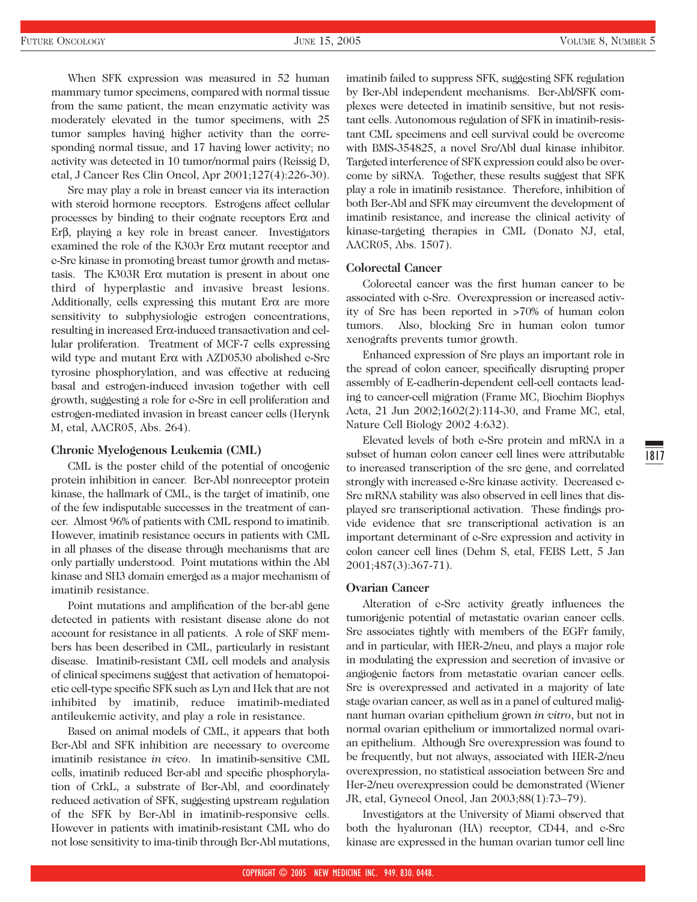When SFK expression was measured in 52 human mammary tumor specimens, compared with normal tissue from the same patient, the mean enzymatic activity was moderately elevated in the tumor specimens, with 25 tumor samples having higher activity than the corresponding normal tissue, and 17 having lower activity; no activity was detected in 10 tumor/normal pairs (Reissig D, etal, J Cancer Res Clin Oncol, Apr 2001;127(4):226-30).

Src may play a role in breast cancer via its interaction with steroid hormone receptors. Estrogens affect cellular processes by binding to their cognate receptors Erα and Erβ, playing a key role in breast cancer. Investigators examined the role of the K303r Erα mutant receptor and c-Src kinase in promoting breast tumor growth and metastasis. The K303R Erα mutation is present in about one third of hyperplastic and invasive breast lesions. Additionally, cells expressing this mutant Erα are more sensitivity to subphysiologic estrogen concentrations, resulting in increased Erα-induced transactivation and cellular proliferation. Treatment of MCF-7 cells expressing wild type and mutant Erα with AZD0530 abolished e-Src tyrosine phosphorylation, and was effective at reducing basal and estrogen-induced invasion together with cell growth, suggesting a role for c-Src in cell proliferation and estrogen-mediated invasion in breast cancer cells (Herynk M, etal, AACR05, Abs. 264).

#### **Chronic Myelogenous Leukemia (CML)**

CML is the poster child of the potential of oncogenic protein inhibition in cancer. Bcr-Abl nonreceptor protein kinase, the hallmark of CML, is the target of imatinib, one of the few indisputable successes in the treatment of cancer. Almost 96% of patients with CML respond to imatinib. However, imatinib resistance occurs in patients with CML in all phases of the disease through mechanisms that are only partially understood. Point mutations within the Abl kinase and SH3 domain emerged as a major mechanism of imatinib resistance.

Point mutations and amplification of the bcr-abl gene detected in patients with resistant disease alone do not account for resistance in all patients. A role of SKF members has been described in CML, particularly in resistant disease. Imatinib-resistant CML cell models and analysis of clinical specimens suggest that activation of hematopoietic cell-type specific SFK such as Lyn and Hck that are not inhibited by imatinib, reduce imatinib-mediated antileukemic activity, and play a role in resistance.

Based on animal models of CML, it appears that both Bcr-Abl and SFK inhibition are necessary to overcome imatinib resistance *in vivo*. In imatinib-sensitive CML cells, imatinib reduced Bcr-abl and specific phosphorylation of CrkL, a substrate of Bcr-Abl, and coordinately reduced activation of SFK, suggesting upstream regulation of the SFK by Bcr-Abl in imatinib-responsive cells. However in patients with imatinib-resistant CML who do not lose sensitivity to ima-tinib through Bcr-Abl mutations, imatinib failed to suppress SFK, suggesting SFK regulation by Bcr-Abl independent mechanisms. Bcr-Abl/SFK complexes were detected in imatinib sensitive, but not resistant cells. Autonomous regulation of SFK in imatinib-resistant CML specimens and cell survival could be overcome with BMS-354825, a novel Src/Abl dual kinase inhibitor. Targeted interference of SFK expression could also be overcome by siRNA. Together, these results suggest that SFK play a role in imatinib resistance. Therefore, inhibition of both Bcr-Abl and SFK may circumvent the development of imatinib resistance, and increase the clinical activity of kinase-targeting therapies in CML (Donato NJ, etal, AACR05, Abs. 1507).

## **Colorectal Cancer**

Colorectal cancer was the first human cancer to be associated with c-Src. Overexpression or increased activity of Src has been reported in >70% of human colon tumors. Also, blocking Src in human colon tumor xenografts prevents tumor growth.

Enhanced expression of Src plays an important role in the spread of colon cancer, specifically disrupting proper assembly of E-cadherin-dependent cell-cell contacts leading to cancer-cell migration (Frame MC, Biochim Biophys Acta, 21 Jun 2002;1602(2):114-30, and Frame MC, etal, Nature Cell Biology 2002 4:632).

Elevated levels of both c-Src protein and mRNA in a subset of human colon cancer cell lines were attributable to increased transcription of the src gene, and correlated strongly with increased c-Src kinase activity. Decreased c-Src mRNA stability was also observed in cell lines that displayed src transcriptional activation. These findings provide evidence that src transcriptional activation is an important determinant of c-Src expression and activity in colon cancer cell lines (Dehm S, etal, FEBS Lett, 5 Jan 2001;487(3):367-71).

#### **Ovarian Cancer**

Alteration of c-Src activity greatly influences the tumorigenic potential of metastatic ovarian cancer cells. Src associates tightly with members of the EGFr family, and in particular, with HER-2/neu, and plays a major role in modulating the expression and secretion of invasive or angiogenic factors from metastatic ovarian cancer cells. Src is overexpressed and activated in a majority of late stage ovarian cancer, as well as in a panel of cultured malignant human ovarian epithelium grown *in vitro*, but not in normal ovarian epithelium or immortalized normal ovarian epithelium. Although Src overexpression was found to be frequently, but not always, associated with HER-2/neu overexpression, no statistical association between Src and Her-2/neu overexpression could be demonstrated (Wiener JR, etal, Gynecol Oncol, Jan 2003;88(1):73–79).

Investigators at the University of Miami observed that both the hyaluronan (HA) receptor, CD44, and c-Src kinase are expressed in the human ovarian tumor cell line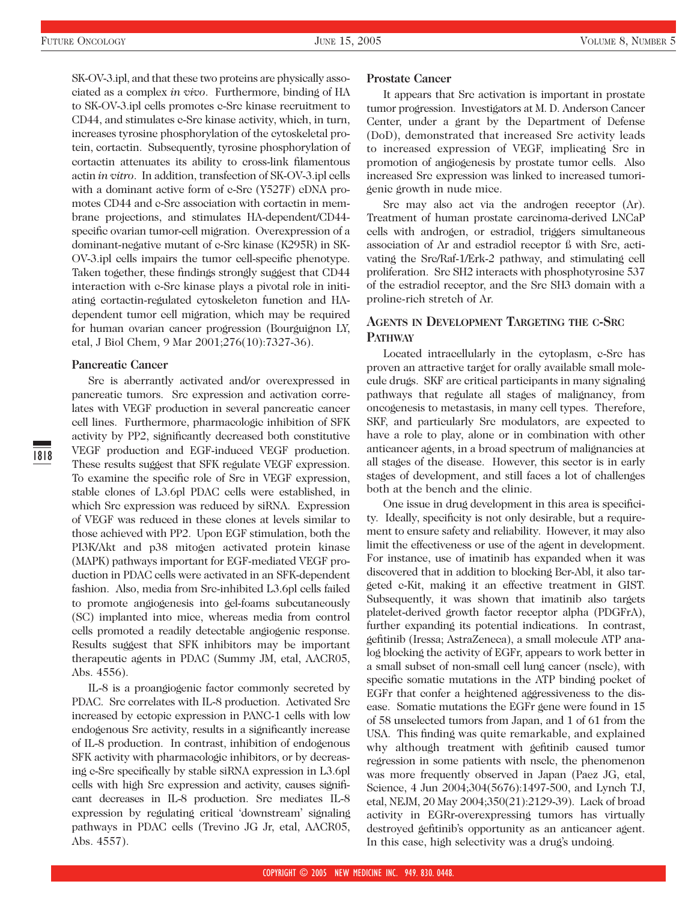SK-OV-3.ipl, and that these two proteins are physically associated as a complex *in vivo*. Furthermore, binding of HA to SK-OV-3.ipl cells promotes c-Src kinase recruitment to CD44, and stimulates c-Src kinase activity, which, in turn, increases tyrosine phosphorylation of the cytoskeletal protein, cortactin. Subsequently, tyrosine phosphorylation of cortactin attenuates its ability to cross-link filamentous actin *in vitro*. In addition, transfection of SK-OV-3.ipl cells with a dominant active form of c-Src (Y527F) cDNA promotes CD44 and c-Src association with cortactin in membrane projections, and stimulates HA-dependent/CD44 specific ovarian tumor-cell migration. Overexpression of a dominant-negative mutant of c-Src kinase (K295R) in SK-OV-3.ipl cells impairs the tumor cell-specific phenotype. Taken together, these findings strongly suggest that CD44 interaction with c-Src kinase plays a pivotal role in initiating cortactin-regulated cytoskeleton function and HAdependent tumor cell migration, which may be required for human ovarian cancer progression (Bourguignon LY, etal, J Biol Chem, 9 Mar 2001;276(10):7327-36).

#### **Pancreatic Cancer**

Src is aberrantly activated and/or overexpressed in pancreatic tumors. Src expression and activation correlates with VEGF production in several pancreatic cancer cell lines. Furthermore, pharmacologic inhibition of SFK activity by PP2, significantly decreased both constitutive VEGF production and EGF-induced VEGF production. These results suggest that SFK regulate VEGF expression. To examine the specific role of Src in VEGF expression, stable clones of L3.6pl PDAC cells were established, in which Src expression was reduced by siRNA. Expression of VEGF was reduced in these clones at levels similar to those achieved with PP2. Upon EGF stimulation, both the PI3K/Akt and p38 mitogen activated protein kinase (MAPK) pathways important for EGF-mediated VEGF production in PDAC cells were activated in an SFK-dependent fashion. Also, media from Src-inhibited L3.6pl cells failed to promote angiogenesis into gel-foams subcutaneously (SC) implanted into mice, whereas media from control cells promoted a readily detectable angiogenic response. Results suggest that SFK inhibitors may be important therapeutic agents in PDAC (Summy JM, etal, AACR05, Abs. 4556).

IL-8 is a proangiogenic factor commonly secreted by PDAC. Src correlates with IL-8 production. Activated Src increased by ectopic expression in PANC-1 cells with low endogenous Src activity, results in a significantly increase of IL-8 production. In contrast, inhibition of endogenous SFK activity with pharmacologic inhibitors, or by decreasing c-Src specifically by stable siRNA expression in L3.6pl cells with high Src expression and activity, causes significant decreases in IL-8 production. Src mediates IL-8 expression by regulating critical 'downstream' signaling pathways in PDAC cells (Trevino JG Jr, etal, AACR05, Abs. 4557).

#### **Prostate Cancer**

It appears that Src activation is important in prostate tumor progression. Investigators at M. D. Anderson Cancer Center, under a grant by the Department of Defense (DoD), demonstrated that increased Src activity leads to increased expression of VEGF, implicating Src in promotion of angiogenesis by prostate tumor cells. Also increased Src expression was linked to increased tumorigenic growth in nude mice.

Src may also act via the androgen receptor (Ar). Treatment of human prostate carcinoma-derived LNCaP cells with androgen, or estradiol, triggers simultaneous association of Ar and estradiol receptor ß with Src, activating the Src/Raf-1/Erk-2 pathway, and stimulating cell proliferation. Src SH2 interacts with phosphotyrosine 537 of the estradiol receptor, and the Src SH3 domain with a proline-rich stretch of Ar.

# **AGENTS IN DEVELOPMENT TARGETING THE C-SRC PATHWAY**

Located intracellularly in the cytoplasm, c-Src has proven an attractive target for orally available small molecule drugs. SKF are critical participants in many signaling pathways that regulate all stages of malignancy, from oncogenesis to metastasis, in many cell types. Therefore, SKF, and particularly Src modulators, are expected to have a role to play, alone or in combination with other anticancer agents, in a broad spectrum of malignancies at all stages of the disease. However, this sector is in early stages of development, and still faces a lot of challenges both at the bench and the clinic.

One issue in drug development in this area is specificity. Ideally, specificity is not only desirable, but a requirement to ensure safety and reliability. However, it may also limit the effectiveness or use of the agent in development. For instance, use of imatinib has expanded when it was discovered that in addition to blocking Bcr-Abl, it also targeted c-Kit, making it an effective treatment in GIST. Subsequently, it was shown that imatinib also targets platelet-derived growth factor receptor alpha (PDGFrA), further expanding its potential indications. In contrast, gefitinib (Iressa; AstraZeneca), a small molecule ATP analog blocking the activity of EGFr, appears to work better in a small subset of non-small cell lung cancer (nsclc), with specific somatic mutations in the ATP binding pocket of EGFr that confer a heightened aggressiveness to the disease. Somatic mutations the EGFr gene were found in 15 of 58 unselected tumors from Japan, and 1 of 61 from the USA. This finding was quite remarkable, and explained why although treatment with gefitinib caused tumor regression in some patients with nsclc, the phenomenon was more frequently observed in Japan (Paez JG, etal, Science, 4 Jun 2004;304(5676):1497-500, and Lynch TJ, etal, NEJM, 20 May 2004;350(21):2129-39). Lack of broad activity in EGRr-overexpressing tumors has virtually destroyed gefitinib's opportunity as an anticancer agent. In this case, high selectivity was a drug's undoing.

1818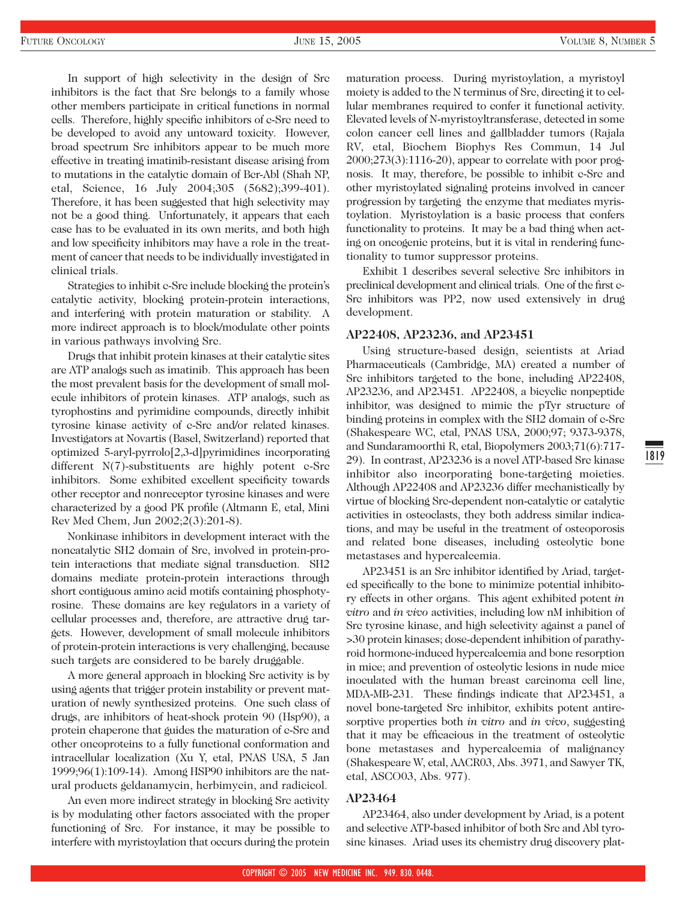In support of high selectivity in the design of Src inhibitors is the fact that Src belongs to a family whose other members participate in critical functions in normal cells. Therefore, highly specific inhibitors of c-Src need to be developed to avoid any untoward toxicity. However, broad spectrum Src inhibitors appear to be much more effective in treating imatinib-resistant disease arising from to mutations in the catalytic domain of Bcr-Abl (Shah NP, etal, Science, 16 July 2004;305 (5682);399-401). Therefore, it has been suggested that high selectivity may not be a good thing. Unfortunately, it appears that each case has to be evaluated in its own merits, and both high and low specificity inhibitors may have a role in the treatment of cancer that needs to be individually investigated in clinical trials.

Strategies to inhibit c-Src include blocking the protein's catalytic activity, blocking protein-protein interactions, and interfering with protein maturation or stability. A more indirect approach is to block/modulate other points in various pathways involving Src.

Drugs that inhibit protein kinases at their catalytic sites are ATP analogs such as imatinib. This approach has been the most prevalent basis for the development of small molecule inhibitors of protein kinases. ATP analogs, such as tyrophostins and pyrimidine compounds, directly inhibit tyrosine kinase activity of c-Src and/or related kinases. Investigators at Novartis (Basel, Switzerland) reported that optimized 5-aryl-pyrrolo[2,3-d]pyrimidines incorporating different N(7)-substituents are highly potent e-Src inhibitors. Some exhibited excellent specificity towards other receptor and nonreceptor tyrosine kinases and were characterized by a good PK profile (Altmann E, etal, Mini Rev Med Chem, Jun 2002;2(3):201-8).

Nonkinase inhibitors in development interact with the noncatalytic SH2 domain of Src, involved in protein-protein interactions that mediate signal transduction. SH2 domains mediate protein-protein interactions through short contiguous amino acid motifs containing phosphotyrosine. These domains are key regulators in a variety of cellular processes and, therefore, are attractive drug targets. However, development of small molecule inhibitors of protein-protein interactions is very challenging, because such targets are considered to be barely druggable.

A more general approach in blocking Src activity is by using agents that trigger protein instability or prevent maturation of newly synthesized proteins. One such class of drugs, are inhibitors of heat-shock protein 90 (Hsp90), a protein chaperone that guides the maturation of c-Src and other oncoproteins to a fully functional conformation and intracellular localization (Xu Y, etal, PNAS USA, 5 Jan 1999;96(1):109-14). Among HSP90 inhibitors are the natural products geldanamycin, herbimycin, and radicicol.

An even more indirect strategy in blocking Src activity is by modulating other factors associated with the proper functioning of Src. For instance, it may be possible to interfere with myristoylation that occurs during the protein maturation process. During myristoylation, a myristoyl moiety is added to the N terminus of Src, directing it to cellular membranes required to confer it functional activity. Elevated levels of N-myristoyltransferase, detected in some colon cancer cell lines and gallbladder tumors (Rajala RV, etal, Biochem Biophys Res Commun, 14 Jul 2000;273(3):1116-20), appear to correlate with poor prognosis. It may, therefore, be possible to inhibit c-Src and other myristoylated signaling proteins involved in cancer progression by targeting the enzyme that mediates myristoylation. Myristoylation is a basic process that confers functionality to proteins. It may be a bad thing when acting on oncogenic proteins, but it is vital in rendering functionality to tumor suppressor proteins.

Exhibit 1 describes several selective Src inhibitors in preclinical development and clinical trials. One of the first c-Src inhibitors was PP2, now used extensively in drug development.

#### **AP22408, AP23236, and AP23451**

Using structure-based design, scientists at Ariad Pharmaceuticals (Cambridge, MA) created a number of Src inhibitors targeted to the bone, including AP22408, AP23236, and AP23451. AP22408, a bicyclic nonpeptide inhibitor, was designed to mimic the pTyr structure of binding proteins in complex with the SH2 domain of c-Src (Shakespeare WC, etal, PNAS USA, 2000;97; 9373-9378, and Sundaramoorthi R, etal, Biopolymers 2003;71(6):717- 29). In contrast, AP23236 is a novel ATP-based Src kinase inhibitor also incorporating bone-targeting moieties. Although AP22408 and AP23236 differ mechanistically by virtue of blocking Src-dependent non-catalytic or catalytic activities in osteoclasts, they both address similar indications, and may be useful in the treatment of osteoporosis and related bone diseases, including osteolytic bone metastases and hypercalcemia.

AP23451 is an Src inhibitor identified by Ariad, targeted specifically to the bone to minimize potential inhibitory effects in other organs. This agent exhibited potent *in vitro* and *in vivo* activities, including low nM inhibition of Src tyrosine kinase, and high selectivity against a panel of >30 protein kinases; dose-dependent inhibition of parathyroid hormone-induced hypercalcemia and bone resorption in mice; and prevention of osteolytic lesions in nude mice inoculated with the human breast carcinoma cell line, MDA-MB-231. These findings indicate that AP23451, a novel bone-targeted Src inhibitor, exhibits potent antiresorptive properties both *in vitro* and *in vivo*, suggesting that it may be efficacious in the treatment of osteolytic bone metastases and hypercalcemia of malignancy (Shakespeare W, etal, AACR03, Abs. 3971, and Sawyer TK, etal, ASCO03, Abs. 977).

## **AP23464**

AP23464, also under development by Ariad, is a potent and selective ATP-based inhibitor of both Src and Abl tyrosine kinases. Ariad uses its chemistry drug discovery plat-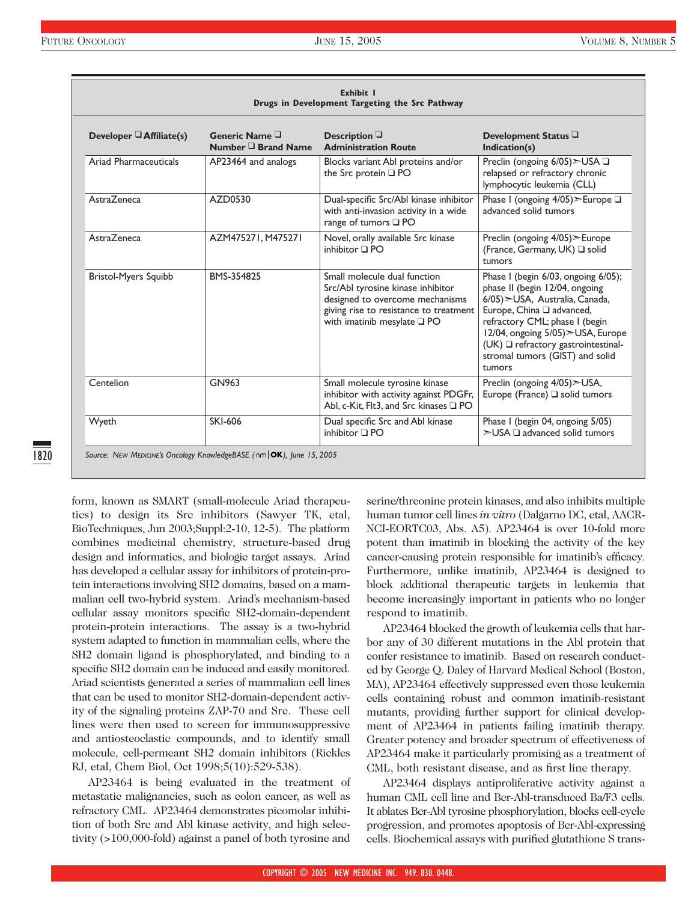| Exhibit I<br>Drugs in Development Targeting the Src Pathway |                                          |                                                                                                                                                                                       |                                                                                                                                                                                                                                                                                                          |
|-------------------------------------------------------------|------------------------------------------|---------------------------------------------------------------------------------------------------------------------------------------------------------------------------------------|----------------------------------------------------------------------------------------------------------------------------------------------------------------------------------------------------------------------------------------------------------------------------------------------------------|
| Developer $\Box$ Affiliate(s)                               | Generic Name $\Box$<br>Number Brand Name | Description $\Box$<br><b>Administration Route</b>                                                                                                                                     | Development Status L<br>Indication(s)                                                                                                                                                                                                                                                                    |
| Ariad Pharmaceuticals                                       | AP23464 and analogs                      | Blocks variant Abl proteins and/or<br>the Src protein □ PO                                                                                                                            | Preclin (ongoing 6/05)>USA □<br>relapsed or refractory chronic<br>lymphocytic leukemia (CLL)                                                                                                                                                                                                             |
| <b>AstraZeneca</b>                                          | AZD0530                                  | Dual-specific Src/Abl kinase inhibitor<br>with anti-invasion activity in a wide<br>range of tumors □ PO                                                                               | Phase I (ongoing 4/05) > Europe □<br>advanced solid tumors                                                                                                                                                                                                                                               |
| AstraZeneca                                                 | AZM475271, M475271                       | Novel, orally available Src kinase<br>inhibitor $\Box$ PO                                                                                                                             | Preclin (ongoing 4/05) > Europe<br>(France, Germany, UK) Q solid<br>tumors                                                                                                                                                                                                                               |
| <b>Bristol-Myers Squibb</b>                                 | BMS-354825                               | Small molecule dual function<br>Src/Abl tyrosine kinase inhibitor<br>designed to overcome mechanisms<br>giving rise to resistance to treatment<br>with imatinib mesylate $\square$ PO | Phase I (begin 6/03, ongoing 6/05);<br>phase II (begin 12/04, ongoing<br>6/05) > USA, Australia, Canada,<br>Europe, China Q advanced,<br>refractory CML; phase I (begin<br>12/04, ongoing 5/05) > USA, Europe<br>$(UK)$ $\Box$ refractory gastrointestinal-<br>stromal tumors (GIST) and solid<br>tumors |
| Centelion                                                   | GN963                                    | Small molecule tyrosine kinase<br>inhibitor with activity against PDGFr,<br>Abl, c-Kit, Flt3, and Src kinases Q PO                                                                    | Preclin (ongoing 4/05)>USA,<br>Europe (France) $\Box$ solid tumors                                                                                                                                                                                                                                       |
| Wyeth                                                       | SKI-606                                  | Dual specific Src and Abl kinase<br>inhibitor $\Box$ PO                                                                                                                               | Phase I (begin 04, ongoing 5/05)<br>$\geq$ USA $\Box$ advanced solid tumors                                                                                                                                                                                                                              |

form, known as SMART (small-molecule Ariad therapeutics) to design its Src inhibitors (Sawyer TK, etal, BioTechniques, Jun 2003;Suppl:2-10, 12-5). The platform combines medicinal chemistry, structure-based drug design and informatics, and biologic target assays. Ariad has developed a cellular assay for inhibitors of protein-protein interactions involving SH2 domains, based on a mammalian cell two-hybrid system. Ariad's mechanism-based cellular assay monitors specific SH2-domain-dependent protein-protein interactions. The assay is a two-hybrid system adapted to function in mammalian cells, where the SH2 domain ligand is phosphorylated, and binding to a specific SH2 domain can be induced and easily monitored. Ariad scientists generated a series of mammalian cell lines that can be used to monitor SH2-domain-dependent activity of the signaling proteins ZAP-70 and Src. These cell lines were then used to screen for immunosuppressive and antiosteoclastic compounds, and to identify small molecule, cell-permeant SH2 domain inhibitors (Rickles RJ, etal, Chem Biol, Oct 1998;5(10):529-538).

AP23464 is being evaluated in the treatment of metastatic malignancies, such as colon cancer, as well as refractory CML. AP23464 demonstrates picomolar inhibition of both Src and Abl kinase activity, and high selectivity (>100,000-fold) against a panel of both tyrosine and

serine/threonine protein kinases, and also inhibits multiple human tumor cell lines *in vitro* (Dalgarno DC, etal, AACR-NCI-EORTC03, Abs. A5). AP23464 is over 10-fold more potent than imatinib in blocking the activity of the key cancer-causing protein responsible for imatinib's efficacy. Furthermore, unlike imatinib, AP23464 is designed to block additional therapeutic targets in leukemia that become increasingly important in patients who no longer respond to imatinib.

AP23464 blocked the growth of leukemia cells that harbor any of 30 different mutations in the Abl protein that confer resistance to imatinib. Based on research conducted by George Q. Daley of Harvard Medical School (Boston, MA), AP23464 effectively suppressed even those leukemia cells containing robust and common imatinib-resistant mutants, providing further support for clinical development of AP23464 in patients failing imatinib therapy. Greater potency and broader spectrum of effectiveness of AP23464 make it particularly promising as a treatment of CML, both resistant disease, and as first line therapy.

AP23464 displays antiproliferative activity against a human CML cell line and Bcr-Abl-transduced Ba/F3 cells. It ablates Bcr-Abl tyrosine phosphorylation, blocks cell-cycle progression, and promotes apoptosis of Bcr-Abl-expressing cells. Biochemical assays with purified glutathione S trans-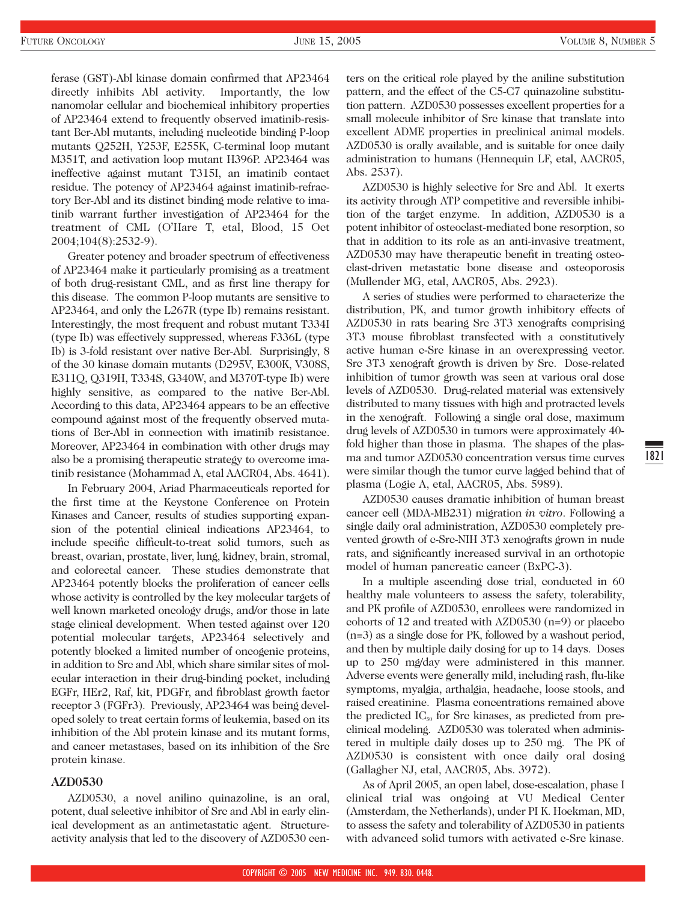1821

ferase (GST)-Abl kinase domain confirmed that AP23464 directly inhibits Abl activity. Importantly, the low nanomolar cellular and biochemical inhibitory properties of AP23464 extend to frequently observed imatinib-resistant Bcr-Abl mutants, including nucleotide binding P-loop mutants Q252H, Y253F, E255K, C-terminal loop mutant M351T, and activation loop mutant H396P. AP23464 was ineffective against mutant T315I, an imatinib contact residue. The potency of AP23464 against imatinib-refractory Bcr-Abl and its distinct binding mode relative to imatinib warrant further investigation of AP23464 for the treatment of CML (O'Hare T, etal, Blood, 15 Oct 2004;104(8):2532-9).

Greater potency and broader spectrum of effectiveness of AP23464 make it particularly promising as a treatment of both drug-resistant CML, and as first line therapy for this disease. The common P-loop mutants are sensitive to AP23464, and only the L267R (type Ib) remains resistant. Interestingly, the most frequent and robust mutant T334I (type Ib) was effectively suppressed, whereas F336L (type Ib) is 3-fold resistant over native Bcr-Abl. Surprisingly, 8 of the 30 kinase domain mutants (D295V, E300K, V308S, E311Q, Q319H, T334S, G340W, and M370T-type Ib) were highly sensitive, as compared to the native Bcr-Abl. According to this data, AP23464 appears to be an effective compound against most of the frequently observed mutations of Bcr-Abl in connection with imatinib resistance. Moreover, AP23464 in combination with other drugs may also be a promising therapeutic strategy to overcome imatinib resistance (Mohammad A, etal AACR04, Abs. 4641).

In February 2004, Ariad Pharmaceuticals reported for the first time at the Keystone Conference on Protein Kinases and Cancer, results of studies supporting expansion of the potential clinical indications AP23464, to include specific difficult-to-treat solid tumors, such as breast, ovarian, prostate, liver, lung, kidney, brain, stromal, and colorectal cancer. These studies demonstrate that AP23464 potently blocks the proliferation of cancer cells whose activity is controlled by the key molecular targets of well known marketed oncology drugs, and/or those in late stage clinical development. When tested against over 120 potential molecular targets, AP23464 selectively and potently blocked a limited number of oncogenic proteins, in addition to Src and Abl, which share similar sites of molecular interaction in their drug-binding pocket, including EGFr, HEr2, Raf, kit, PDGFr, and fibroblast growth factor receptor 3 (FGFr3). Previously, AP23464 was being developed solely to treat certain forms of leukemia, based on its inhibition of the Abl protein kinase and its mutant forms, and cancer metastases, based on its inhibition of the Src protein kinase.

## **AZD0530**

AZD0530, a novel anilino quinazoline, is an oral, potent, dual selective inhibitor of Src and Abl in early clinical development as an antimetastatic agent. Structureactivity analysis that led to the discovery of AZD0530 centers on the critical role played by the aniline substitution pattern, and the effect of the C5-C7 quinazoline substitution pattern. AZD0530 possesses excellent properties for a small molecule inhibitor of Src kinase that translate into excellent ADME properties in preclinical animal models. AZD0530 is orally available, and is suitable for once daily administration to humans (Hennequin LF, etal, AACR05, Abs. 2537).

AZD0530 is highly selective for Src and Abl. It exerts its activity through ATP competitive and reversible inhibition of the target enzyme. In addition, AZD0530 is a potent inhibitor of osteoclast-mediated bone resorption, so that in addition to its role as an anti-invasive treatment, AZD0530 may have therapeutic benefit in treating osteoclast-driven metastatic bone disease and osteoporosis (Mullender MG, etal, AACR05, Abs. 2923).

A series of studies were performed to characterize the distribution, PK, and tumor growth inhibitory effects of AZD0530 in rats bearing Src 3T3 xenografts comprising 3T3 mouse fibroblast transfected with a constitutively active human c-Src kinase in an overexpressing vector. Src 3T3 xenograft growth is driven by Src. Dose-related inhibition of tumor growth was seen at various oral dose levels of AZD0530. Drug-related material was extensively distributed to many tissues with high and protracted levels in the xenograft. Following a single oral dose, maximum drug levels of AZD0530 in tumors were approximately 40 fold higher than those in plasma. The shapes of the plasma and tumor AZD0530 concentration versus time curves were similar though the tumor curve lagged behind that of plasma (Logie A, etal, AACR05, Abs. 5989).

AZD0530 causes dramatic inhibition of human breast cancer cell (MDA-MB231) migration *in vitro*. Following a single daily oral administration, AZD0530 completely prevented growth of c-Src-NIH 3T3 xenografts grown in nude rats, and significantly increased survival in an orthotopic model of human pancreatic cancer (BxPC-3).

In a multiple ascending dose trial, conducted in 60 healthy male volunteers to assess the safety, tolerability, and PK profile of AZD0530, enrollees were randomized in cohorts of 12 and treated with AZD0530 (n=9) or placebo (n=3) as a single dose for PK, followed by a washout period, and then by multiple daily dosing for up to 14 days. Doses up to 250 mg/day were administered in this manner. Adverse events were generally mild, including rash, flu-like symptoms, myalgia, arthalgia, headache, loose stools, and raised creatinine. Plasma concentrations remained above the predicted  $IC_{50}$  for Src kinases, as predicted from preclinical modeling. AZD0530 was tolerated when administered in multiple daily doses up to 250 mg. The PK of AZD0530 is consistent with once daily oral dosing (Gallagher NJ, etal, AACR05, Abs. 3972).

As of April 2005, an open label, dose-escalation, phase I clinical trial was ongoing at VU Medical Center (Amsterdam, the Netherlands), under PI K. Hoekman, MD, to assess the safety and tolerability of AZD0530 in patients with advanced solid tumors with activated c-Src kinase.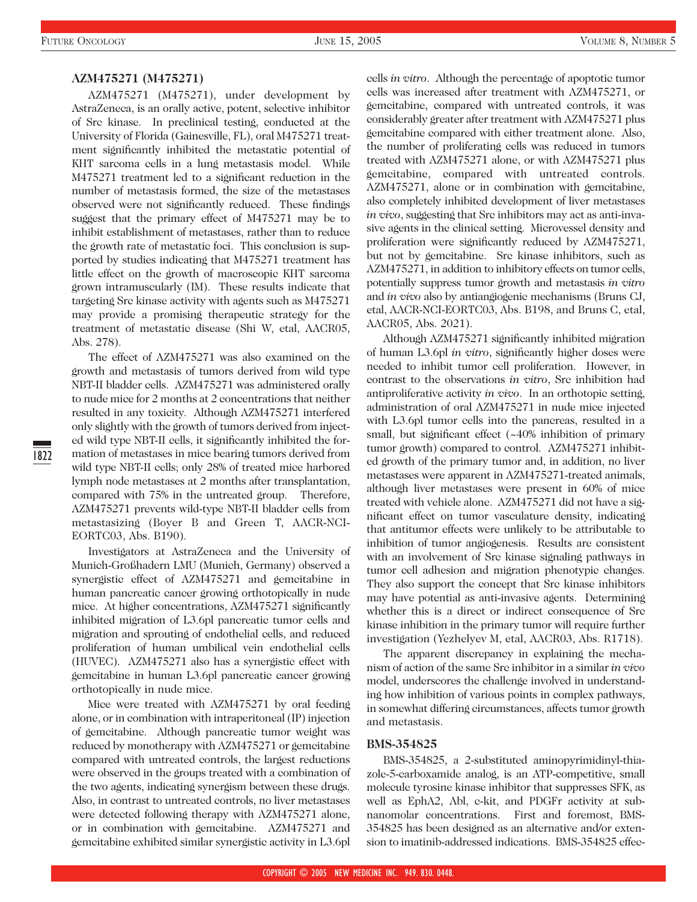## **AZM475271 (M475271)**

AZM475271 (M475271), under development by AstraZeneca, is an orally active, potent, selective inhibitor of Src kinase. In preclinical testing, conducted at the University of Florida (Gainesville, FL), oral M475271 treatment significantly inhibited the metastatic potential of KHT sarcoma cells in a lung metastasis model. While M475271 treatment led to a significant reduction in the number of metastasis formed, the size of the metastases observed were not significantly reduced. These findings suggest that the primary effect of M475271 may be to inhibit establishment of metastases, rather than to reduce the growth rate of metastatic foci. This conclusion is supported by studies indicating that M475271 treatment has little effect on the growth of macroscopic KHT sarcoma grown intramuscularly (IM). These results indicate that targeting Src kinase activity with agents such as M475271 may provide a promising therapeutic strategy for the treatment of metastatic disease (Shi W, etal, AACR05, Abs. 278).

The effect of AZM475271 was also examined on the growth and metastasis of tumors derived from wild type NBT-II bladder cells. AZM475271 was administered orally to nude mice for 2 months at 2 concentrations that neither resulted in any toxicity. Although AZM475271 interfered only slightly with the growth of tumors derived from injected wild type NBT-II cells, it significantly inhibited the formation of metastases in mice bearing tumors derived from wild type NBT-II cells; only 28% of treated mice harbored lymph node metastases at 2 months after transplantation, compared with 75% in the untreated group. Therefore, AZM475271 prevents wild-type NBT-II bladder cells from metastasizing (Boyer B and Green T, AACR-NCI-EORTC03, Abs. B190).

Investigators at AstraZeneca and the University of Munich-Großhadern LMU (Munich, Germany) observed a synergistic effect of AZM475271 and gemcitabine in human pancreatic cancer growing orthotopically in nude mice. At higher concentrations, AZM475271 significantly inhibited migration of L3.6pl pancreatic tumor cells and migration and sprouting of endothelial cells, and reduced proliferation of human umbilical vein endothelial cells (HUVEC). AZM475271 also has a synergistic effect with gemcitabine in human L3.6pl pancreatic cancer growing orthotopically in nude mice.

Mice were treated with AZM475271 by oral feeding alone, or in combination with intraperitoneal (IP) injection of gemcitabine. Although pancreatic tumor weight was reduced by monotherapy with AZM475271 or gemcitabine compared with untreated controls, the largest reductions were observed in the groups treated with a combination of the two agents, indicating synergism between these drugs. Also, in contrast to untreated controls, no liver metastases were detected following therapy with AZM475271 alone, or in combination with gemcitabine. AZM475271 and gemcitabine exhibited similar synergistic activity in L3.6pl

cells *in vitro*. Although the percentage of apoptotic tumor cells was increased after treatment with AZM475271, or gemcitabine, compared with untreated controls, it was considerably greater after treatment with AZM475271 plus gemcitabine compared with either treatment alone. Also, the number of proliferating cells was reduced in tumors treated with AZM475271 alone, or with AZM475271 plus gemcitabine, compared with untreated controls. AZM475271, alone or in combination with gemcitabine, also completely inhibited development of liver metastases *in vivo*, suggesting that Src inhibitors may act as anti-invasive agents in the clinical setting. Microvessel density and proliferation were significantly reduced by AZM475271, but not by gemcitabine. Src kinase inhibitors, such as AZM475271, in addition to inhibitory effects on tumor cells, potentially suppress tumor growth and metastasis *in vitro* and *in vivo* also by antiangiogenic mechanisms (Bruns CJ, etal, AACR-NCI-EORTC03, Abs. B198, and Bruns C, etal, AACR05, Abs. 2021).

Although AZM475271 significantly inhibited migration of human L3.6pl *in vitro*, significantly higher doses were needed to inhibit tumor cell proliferation. However, in contrast to the observations *in vitro*, Src inhibition had antiproliferative activity *in vivo*. In an orthotopic setting, administration of oral AZM475271 in nude mice injected with L3.6pl tumor cells into the pancreas, resulted in a small, but significant effect (~40% inhibition of primary tumor growth) compared to control. AZM475271 inhibited growth of the primary tumor and, in addition, no liver metastases were apparent in AZM475271-treated animals, although liver metastases were present in 60% of mice treated with vehicle alone. AZM475271 did not have a significant effect on tumor vasculature density, indicating that antitumor effects were unlikely to be attributable to inhibition of tumor angiogenesis. Results are consistent with an involvement of Src kinase signaling pathways in tumor cell adhesion and migration phenotypic changes. They also support the concept that Src kinase inhibitors may have potential as anti-invasive agents. Determining whether this is a direct or indirect consequence of Src kinase inhibition in the primary tumor will require further investigation (Yezhelyev M, etal, AACR03, Abs. R1718).

The apparent discrepancy in explaining the mechanism of action of the same Src inhibitor in a similar *in vivo* model, underscores the challenge involved in understanding how inhibition of various points in complex pathways, in somewhat differing circumstances, affects tumor growth and metastasis.

#### **BMS-354825**

BMS-354825, a 2-substituted aminopyrimidinyl-thiazole-5-carboxamide analog, is an ATP-competitive, small molecule tyrosine kinase inhibitor that suppresses SFK, as well as EphA2, Abl, c-kit, and PDGFr activity at subnanomolar concentrations. First and foremost, BMS-354825 has been designed as an alternative and/or extension to imatinib-addressed indications. BMS-354825 effec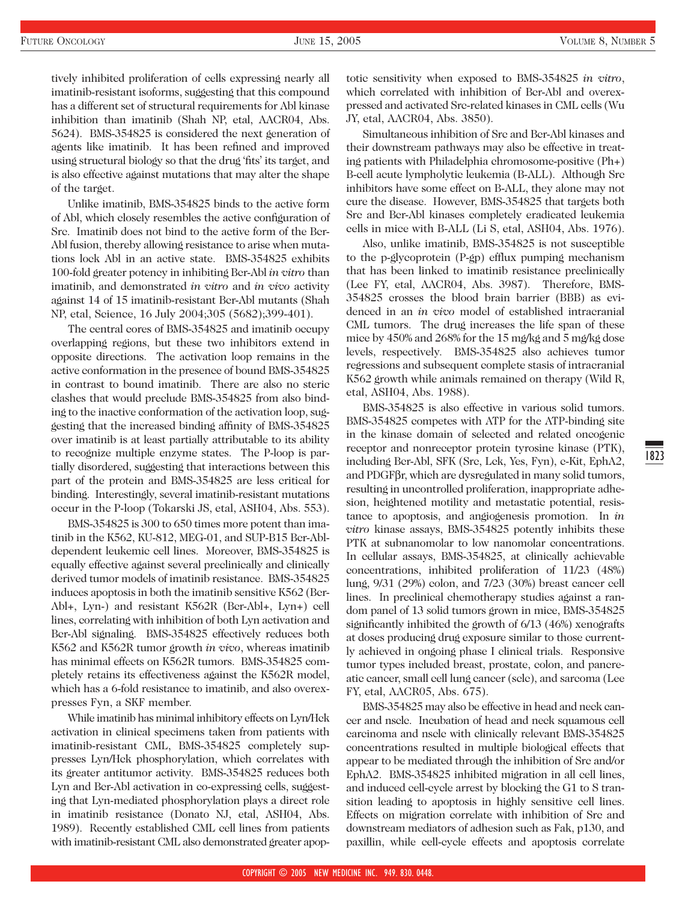tively inhibited proliferation of cells expressing nearly all imatinib-resistant isoforms, suggesting that this compound has a different set of structural requirements for Abl kinase inhibition than imatinib (Shah NP, etal, AACR04, Abs. 5624). BMS-354825 is considered the next generation of agents like imatinib. It has been refined and improved using structural biology so that the drug 'fits' its target, and is also effective against mutations that may alter the shape of the target.

Unlike imatinib, BMS-354825 binds to the active form of Abl, which closely resembles the active configuration of Src. Imatinib does not bind to the active form of the Bcr-Abl fusion, thereby allowing resistance to arise when mutations lock Abl in an active state. BMS-354825 exhibits 100-fold greater potency in inhibiting Bcr-Abl *in vitro* than imatinib, and demonstrated *in vitro* and *in vivo* activity against 14 of 15 imatinib-resistant Bcr-Abl mutants (Shah NP, etal, Science, 16 July 2004;305 (5682);399-401).

The central cores of BMS-354825 and imatinib occupy overlapping regions, but these two inhibitors extend in opposite directions. The activation loop remains in the active conformation in the presence of bound BMS-354825 in contrast to bound imatinib. There are also no steric clashes that would preclude BMS-354825 from also binding to the inactive conformation of the activation loop, suggesting that the increased binding affinity of BMS-354825 over imatinib is at least partially attributable to its ability to recognize multiple enzyme states. The P-loop is partially disordered, suggesting that interactions between this part of the protein and BMS-354825 are less critical for binding. Interestingly, several imatinib-resistant mutations occur in the P-loop (Tokarski JS, etal, ASH04, Abs. 553).

BMS-354825 is 300 to 650 times more potent than imatinib in the K562, KU-812, MEG-01, and SUP-B15 Bcr-Abldependent leukemic cell lines. Moreover, BMS-354825 is equally effective against several preclinically and clinically derived tumor models of imatinib resistance. BMS-354825 induces apoptosis in both the imatinib sensitive K562 (Bcr-Abl+, Lyn-) and resistant K562R (Bcr-Abl+, Lyn+) cell lines, correlating with inhibition of both Lyn activation and Bcr-Abl signaling. BMS-354825 effectively reduces both K562 and K562R tumor growth *in vivo*, whereas imatinib has minimal effects on K562R tumors. BMS-354825 completely retains its effectiveness against the K562R model, which has a 6-fold resistance to imatinib, and also overexpresses Fyn, a SKF member.

While imatinib has minimal inhibitory effects on Lyn/Hck activation in clinical specimens taken from patients with imatinib-resistant CML, BMS-354825 completely suppresses Lyn/Hck phosphorylation, which correlates with its greater antitumor activity. BMS-354825 reduces both Lyn and Bcr-Abl activation in co-expressing cells, suggesting that Lyn-mediated phosphorylation plays a direct role in imatinib resistance (Donato NJ, etal, ASH04, Abs. 1989). Recently established CML cell lines from patients with imatinib-resistant CML also demonstrated greater apoptotic sensitivity when exposed to BMS-354825 *in vitro*, which correlated with inhibition of Bcr-Abl and overexpressed and activated Src-related kinases in CML cells (Wu JY, etal, AACR04, Abs. 3850).

Simultaneous inhibition of Src and Bcr-Abl kinases and their downstream pathways may also be effective in treating patients with Philadelphia chromosome-positive (Ph+) B-cell acute lympholytic leukemia (B-ALL). Although Src inhibitors have some effect on B-ALL, they alone may not cure the disease. However, BMS-354825 that targets both Src and Bcr-Abl kinases completely eradicated leukemia cells in mice with B-ALL (Li S, etal, ASH04, Abs. 1976).

Also, unlike imatinib, BMS-354825 is not susceptible to the p-glycoprotein (P-gp) efflux pumping mechanism that has been linked to imatinib resistance preclinically (Lee FY, etal, AACR04, Abs. 3987). Therefore, BMS-354825 crosses the blood brain barrier (BBB) as evidenced in an *in vivo* model of established intracranial CML tumors. The drug increases the life span of these mice by 450% and 268% for the 15 mg/kg and 5 mg/kg dose levels, respectively. BMS-354825 also achieves tumor regressions and subsequent complete stasis of intracranial K562 growth while animals remained on therapy (Wild R, etal, ASH04, Abs. 1988).

BMS-354825 is also effective in various solid tumors. BMS-354825 competes with ATP for the ATP-binding site in the kinase domain of selected and related oncogenic receptor and nonreceptor protein tyrosine kinase (PTK), including Bcr-Abl, SFK (Src, Lck, Yes, Fyn), c-Kit, EphA2, and PDGFβr, which are dysregulated in many solid tumors, resulting in uncontrolled proliferation, inappropriate adhesion, heightened motility and metastatic potential, resistance to apoptosis, and angiogenesis promotion. In *in vitro* kinase assays, BMS-354825 potently inhibits these PTK at subnanomolar to low nanomolar concentrations. In cellular assays, BMS-354825, at clinically achievable concentrations, inhibited proliferation of 11/23 (48%) lung, 9/31 (29%) colon, and 7/23 (30%) breast cancer cell lines. In preclinical chemotherapy studies against a random panel of 13 solid tumors grown in mice, BMS-354825 significantly inhibited the growth of 6/13 (46%) xenografts at doses producing drug exposure similar to those currently achieved in ongoing phase I clinical trials. Responsive tumor types included breast, prostate, colon, and pancreatic cancer, small cell lung cancer (sclc), and sarcoma (Lee FY, etal, AACR05, Abs. 675).

BMS-354825 may also be effective in head and neck cancer and nsclc. Incubation of head and neck squamous cell carcinoma and nsclc with clinically relevant BMS-354825 concentrations resulted in multiple biological effects that appear to be mediated through the inhibition of Src and/or EphA2. BMS-354825 inhibited migration in all cell lines, and induced cell-cycle arrest by blocking the G1 to S transition leading to apoptosis in highly sensitive cell lines. Effects on migration correlate with inhibition of Src and downstream mediators of adhesion such as Fak, p130, and paxillin, while cell-cycle effects and apoptosis correlate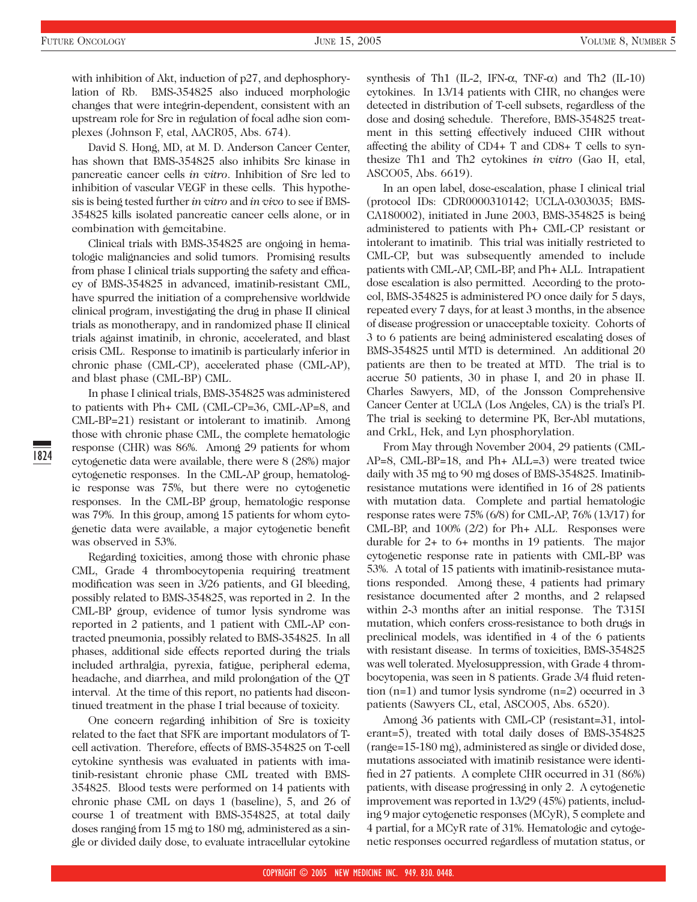David S. Hong, MD, at M. D. Anderson Cancer Center, has shown that BMS-354825 also inhibits Src kinase in pancreatic cancer cells *in vitro*. Inhibition of Src led to inhibition of vascular VEGF in these cells. This hypothesis is being tested further *in vitro* and *in vivo* to see if BMS-354825 kills isolated pancreatic cancer cells alone, or in combination with gemcitabine.

Clinical trials with BMS-354825 are ongoing in hematologic malignancies and solid tumors. Promising results from phase I clinical trials supporting the safety and efficacy of BMS-354825 in advanced, imatinib-resistant CML, have spurred the initiation of a comprehensive worldwide clinical program, investigating the drug in phase II clinical trials as monotherapy, and in randomized phase II clinical trials against imatinib, in chronic, accelerated, and blast crisis CML. Response to imatinib is particularly inferior in chronic phase (CML-CP), accelerated phase (CML-AP), and blast phase (CML-BP) CML.

In phase I clinical trials, BMS-354825 was administered to patients with Ph+ CML (CML-CP=36, CML-AP=8, and CML-BP=21) resistant or intolerant to imatinib. Among those with chronic phase CML, the complete hematologic response (CHR) was 86%. Among 29 patients for whom cytogenetic data were available, there were 8 (28%) major cytogenetic responses. In the CML-AP group, hematologic response was 75%, but there were no cytogenetic responses. In the CML-BP group, hematologic response was 79%. In this group, among 15 patients for whom cytogenetic data were available, a major cytogenetic benefit was observed in 53%.

Regarding toxicities, among those with chronic phase CML, Grade 4 thrombocytopenia requiring treatment modification was seen in 3/26 patients, and GI bleeding, possibly related to BMS-354825, was reported in 2. In the CML-BP group, evidence of tumor lysis syndrome was reported in 2 patients, and 1 patient with CML-AP contracted pneumonia, possibly related to BMS-354825. In all phases, additional side effects reported during the trials included arthralgia, pyrexia, fatigue, peripheral edema, headache, and diarrhea, and mild prolongation of the QT interval. At the time of this report, no patients had discontinued treatment in the phase I trial because of toxicity.

One concern regarding inhibition of Src is toxicity related to the fact that SFK are important modulators of Tcell activation. Therefore, effects of BMS-354825 on T-cell cytokine synthesis was evaluated in patients with imatinib-resistant chronic phase CML treated with BMS-354825. Blood tests were performed on 14 patients with chronic phase CML on days 1 (baseline), 5, and 26 of course 1 of treatment with BMS-354825, at total daily doses ranging from 15 mg to 180 mg, administered as a single or divided daily dose, to evaluate intracellular cytokine synthesis of Th1 (IL-2, IFN-α, TNF-α) and Th2 (IL-10) cytokines. In 13/14 patients with CHR, no changes were detected in distribution of T-cell subsets, regardless of the dose and dosing schedule. Therefore, BMS-354825 treatment in this setting effectively induced CHR without affecting the ability of CD4+ T and CD8+ T cells to synthesize Th1 and Th2 cytokines *in vitro* (Gao H, etal, ASCO05, Abs. 6619).

In an open label, dose-escalation, phase I clinical trial (protocol IDs: CDR0000310142; UCLA-0303035; BMS-CA180002), initiated in June 2003, BMS-354825 is being administered to patients with Ph+ CML-CP resistant or intolerant to imatinib. This trial was initially restricted to CML-CP, but was subsequently amended to include patients with CML-AP, CML-BP, and Ph+ ALL. Intrapatient dose escalation is also permitted. According to the protocol, BMS-354825 is administered PO once daily for 5 days, repeated every 7 days, for at least 3 months, in the absence of disease progression or unacceptable toxicity. Cohorts of 3 to 6 patients are being administered escalating doses of BMS-354825 until MTD is determined. An additional 20 patients are then to be treated at MTD. The trial is to accrue 50 patients, 30 in phase I, and 20 in phase II. Charles Sawyers, MD, of the Jonsson Comprehensive Cancer Center at UCLA (Los Angeles, CA) is the trial's PI. The trial is seeking to determine PK, Bcr-Abl mutations, and CrkL, Hck, and Lyn phosphorylation.

From May through November 2004, 29 patients (CML-AP=8, CML-BP=18, and Ph+ ALL=3) were treated twice daily with 35 mg to 90 mg doses of BMS-354825. Imatinibresistance mutations were identified in 16 of 28 patients with mutation data. Complete and partial hematologic response rates were 75% (6/8) for CML-AP, 76% (13/17) for CML-BP, and  $100\%$  (2/2) for Ph+ ALL. Responses were durable for 2+ to 6+ months in 19 patients. The major cytogenetic response rate in patients with CML-BP was 53%. A total of 15 patients with imatinib-resistance mutations responded. Among these, 4 patients had primary resistance documented after 2 months, and 2 relapsed within 2-3 months after an initial response. The T315I mutation, which confers cross-resistance to both drugs in preclinical models, was identified in 4 of the 6 patients with resistant disease. In terms of toxicities, BMS-354825 was well tolerated. Myelosuppression, with Grade 4 thrombocytopenia, was seen in 8 patients. Grade 3/4 fluid retention (n=1) and tumor lysis syndrome (n=2) occurred in 3 patients (Sawyers CL, etal, ASCO05, Abs. 6520).

Among 36 patients with CML-CP (resistant=31, intolerant=5), treated with total daily doses of BMS-354825 (range=15-180 mg), administered as single or divided dose, mutations associated with imatinib resistance were identified in 27 patients. A complete CHR occurred in 31 (86%) patients, with disease progressing in only 2. A cytogenetic improvement was reported in 13/29 (45%) patients, including 9 major cytogenetic responses (MCyR), 5 complete and 4 partial, for a MCyR rate of 31%. Hematologic and cytogenetic responses occurred regardless of mutation status, or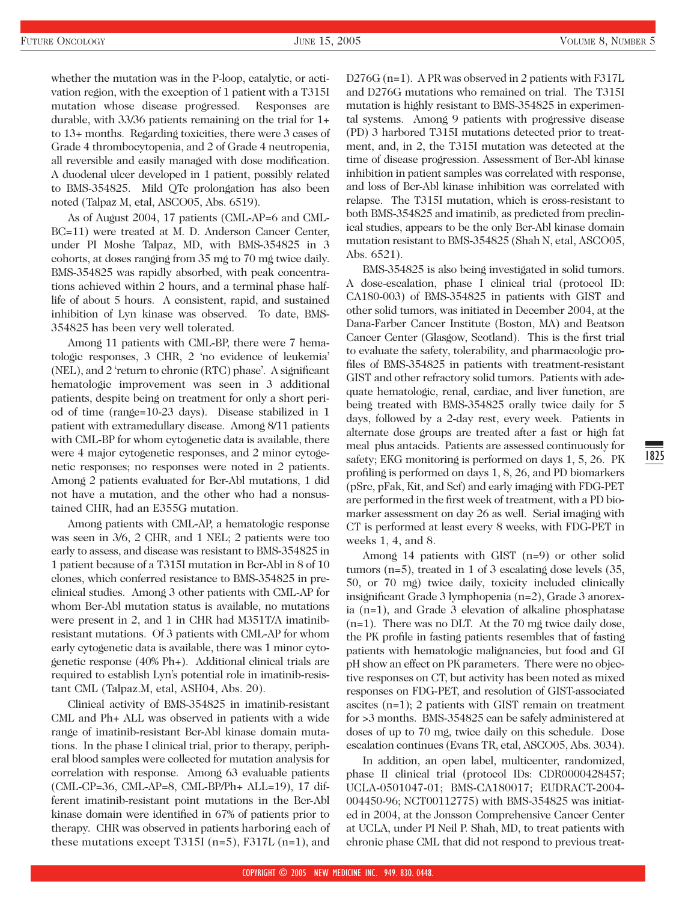whether the mutation was in the P-loop, catalytic, or activation region, with the exception of 1 patient with a T315I mutation whose disease progressed. Responses are durable, with 33/36 patients remaining on the trial for 1+ to 13+ months. Regarding toxicities, there were 3 cases of Grade 4 thrombocytopenia, and 2 of Grade 4 neutropenia, all reversible and easily managed with dose modification. A duodenal ulcer developed in 1 patient, possibly related to BMS-354825. Mild QTc prolongation has also been noted (Talpaz M, etal, ASCO05, Abs. 6519).

As of August 2004, 17 patients (CML-AP=6 and CML-BC=11) were treated at M. D. Anderson Cancer Center, under PI Moshe Talpaz, MD, with BMS-354825 in 3 cohorts, at doses ranging from 35 mg to 70 mg twice daily. BMS-354825 was rapidly absorbed, with peak concentrations achieved within 2 hours, and a terminal phase halflife of about 5 hours. A consistent, rapid, and sustained inhibition of Lyn kinase was observed. To date, BMS-354825 has been very well tolerated.

Among 11 patients with CML-BP, there were 7 hematologic responses, 3 CHR, 2 'no evidence of leukemia' (NEL), and 2 'return to chronic (RTC) phase'. A significant hematologic improvement was seen in 3 additional patients, despite being on treatment for only a short period of time (range=10-23 days). Disease stabilized in 1 patient with extramedullary disease. Among 8/11 patients with CML-BP for whom cytogenetic data is available, there were 4 major cytogenetic responses, and 2 minor cytogenetic responses; no responses were noted in 2 patients. Among 2 patients evaluated for Bcr-Abl mutations, 1 did not have a mutation, and the other who had a nonsustained CHR, had an E355G mutation.

Among patients with CML-AP, a hematologic response was seen in 3/6, 2 CHR, and 1 NEL; 2 patients were too early to assess, and disease was resistant to BMS-354825 in 1 patient because of a T315I mutation in Bcr-Abl in 8 of 10 clones, which conferred resistance to BMS-354825 in preclinical studies. Among 3 other patients with CML-AP for whom Bcr-Abl mutation status is available, no mutations were present in 2, and 1 in CHR had M351T/A imatinibresistant mutations. Of 3 patients with CML-AP for whom early cytogenetic data is available, there was 1 minor cytogenetic response (40% Ph+). Additional clinical trials are required to establish Lyn's potential role in imatinib-resistant CML (Talpaz.M, etal, ASH04, Abs. 20).

Clinical activity of BMS-354825 in imatinib-resistant CML and Ph+ ALL was observed in patients with a wide range of imatinib-resistant Bcr-Abl kinase domain mutations. In the phase I clinical trial, prior to therapy, peripheral blood samples were collected for mutation analysis for correlation with response. Among 63 evaluable patients (CML-CP=36, CML-AP=8, CML-BP/Ph+ ALL=19), 17 different imatinib-resistant point mutations in the Bcr-Abl kinase domain were identified in 67% of patients prior to therapy. CHR was observed in patients harboring each of these mutations except T315I ( $n=5$ ), F317L ( $n=1$ ), and

D276G (n=1). A PR was observed in 2 patients with F317L and D276G mutations who remained on trial. The T315I mutation is highly resistant to BMS-354825 in experimental systems. Among 9 patients with progressive disease (PD) 3 harbored T315I mutations detected prior to treatment, and, in 2, the T315I mutation was detected at the time of disease progression. Assessment of Bcr-Abl kinase inhibition in patient samples was correlated with response, and loss of Bcr-Abl kinase inhibition was correlated with relapse. The T315I mutation, which is cross-resistant to both BMS-354825 and imatinib, as predicted from preclinical studies, appears to be the only Bcr-Abl kinase domain mutation resistant to BMS-354825 (Shah N, etal, ASCO05, Abs. 6521).

BMS-354825 is also being investigated in solid tumors. A dose-escalation, phase I clinical trial (protocol ID: CA180-003) of BMS-354825 in patients with GIST and other solid tumors, was initiated in December 2004, at the Dana-Farber Cancer Institute (Boston, MA) and Beatson Cancer Center (Glasgow, Scotland). This is the first trial to evaluate the safety, tolerability, and pharmacologic profiles of BMS-354825 in patients with treatment-resistant GIST and other refractory solid tumors. Patients with adequate hematologic, renal, cardiac, and liver function, are being treated with BMS-354825 orally twice daily for 5 days, followed by a 2-day rest, every week. Patients in alternate dose groups are treated after a fast or high fat meal plus antacids. Patients are assessed continuously for safety; EKG monitoring is performed on days 1, 5, 26. PK profiling is performed on days 1, 8, 26, and PD biomarkers (pSrc, pFak, Kit, and Scf) and early imaging with FDG-PET are performed in the first week of treatment, with a PD biomarker assessment on day 26 as well. Serial imaging with CT is performed at least every 8 weeks, with FDG-PET in weeks 1, 4, and 8.

Among 14 patients with GIST (n=9) or other solid tumors (n=5), treated in 1 of 3 escalating dose levels (35, 50, or 70 mg) twice daily, toxicity included clinically insignificant Grade 3 lymphopenia (n=2), Grade 3 anorexia (n=1), and Grade 3 elevation of alkaline phosphatase (n=1). There was no DLT. At the 70 mg twice daily dose, the PK profile in fasting patients resembles that of fasting patients with hematologic malignancies, but food and GI pH show an effect on PK parameters. There were no objective responses on CT, but activity has been noted as mixed responses on FDG-PET, and resolution of GIST-associated ascites (n=1); 2 patients with GIST remain on treatment for >3 months. BMS-354825 can be safely administered at doses of up to 70 mg, twice daily on this schedule. Dose escalation continues (Evans TR, etal, ASCO05, Abs. 3034).

In addition, an open label, multicenter, randomized, phase II clinical trial (protocol IDs: CDR0000428457; UCLA-0501047-01; BMS-CA180017; EUDRACT-2004- 004450-96; NCT00112775) with BMS-354825 was initiated in 2004, at the Jonsson Comprehensive Cancer Center at UCLA, under PI Neil P. Shah, MD, to treat patients with chronic phase CML that did not respond to previous treat1825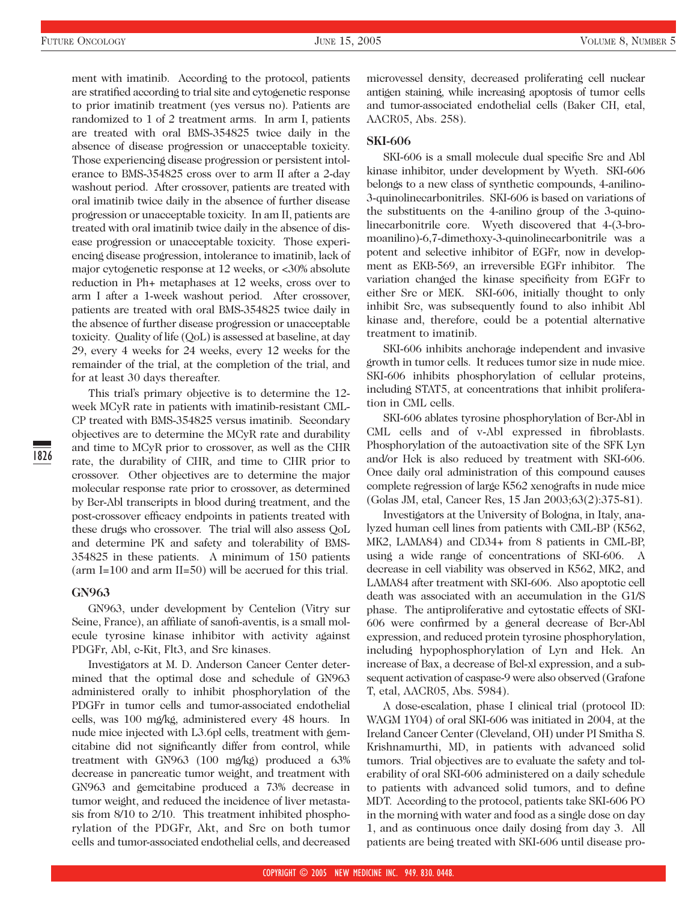ment with imatinib. According to the protocol, patients are stratified according to trial site and cytogenetic response to prior imatinib treatment (yes versus no). Patients are randomized to 1 of 2 treatment arms. In arm I, patients are treated with oral BMS-354825 twice daily in the absence of disease progression or unacceptable toxicity. Those experiencing disease progression or persistent intolerance to BMS-354825 cross over to arm II after a 2-day washout period. After crossover, patients are treated with oral imatinib twice daily in the absence of further disease progression or unacceptable toxicity. In am II, patients are treated with oral imatinib twice daily in the absence of disease progression or unacceptable toxicity. Those experiencing disease progression, intolerance to imatinib, lack of major cytogenetic response at 12 weeks, or <30% absolute reduction in Ph+ metaphases at 12 weeks, cross over to arm I after a 1-week washout period. After crossover, patients are treated with oral BMS-354825 twice daily in the absence of further disease progression or unacceptable toxicity. Quality of life (QoL) is assessed at baseline, at day 29, every 4 weeks for 24 weeks, every 12 weeks for the remainder of the trial, at the completion of the trial, and for at least 30 days thereafter.

This trial's primary objective is to determine the 12 week MCyR rate in patients with imatinib-resistant CML-CP treated with BMS-354825 versus imatinib. Secondary objectives are to determine the MCyR rate and durability and time to MCyR prior to crossover, as well as the CHR rate, the durability of CHR, and time to CHR prior to crossover. Other objectives are to determine the major molecular response rate prior to crossover, as determined by Bcr-Abl transcripts in blood during treatment, and the post-crossover efficacy endpoints in patients treated with these drugs who crossover. The trial will also assess QoL and determine PK and safety and tolerability of BMS-354825 in these patients. A minimum of 150 patients (arm I=100 and arm II=50) will be accrued for this trial.

#### **GN963**

GN963, under development by Centelion (Vitry sur Seine, France), an affiliate of sanofi-aventis, is a small molecule tyrosine kinase inhibitor with activity against PDGFr, Abl, c-Kit, Flt3, and Src kinases.

Investigators at M. D. Anderson Cancer Center determined that the optimal dose and schedule of GN963 administered orally to inhibit phosphorylation of the PDGFr in tumor cells and tumor-associated endothelial cells, was 100 mg/kg, administered every 48 hours. In nude mice injected with L3.6pl cells, treatment with gemcitabine did not significantly differ from control, while treatment with GN963 (100 mg/kg) produced a 63% decrease in pancreatic tumor weight, and treatment with GN963 and gemcitabine produced a 73% decrease in tumor weight, and reduced the incidence of liver metastasis from 8/10 to 2/10. This treatment inhibited phosphorylation of the PDGFr, Akt, and Src on both tumor cells and tumor-associated endothelial cells, and decreased

microvessel density, decreased proliferating cell nuclear antigen staining, while increasing apoptosis of tumor cells and tumor-associated endothelial cells (Baker CH, etal, AACR05, Abs. 258).

#### **SKI-606**

SKI-606 is a small molecule dual specific Src and Abl kinase inhibitor, under development by Wyeth. SKI-606 belongs to a new class of synthetic compounds, 4-anilino-3-quinolinecarbonitriles. SKI-606 is based on variations of the substituents on the 4-anilino group of the 3-quinolinecarbonitrile core. Wyeth discovered that 4-(3-bromoanilino)-6,7-dimethoxy-3-quinolinecarbonitrile was a potent and selective inhibitor of EGFr, now in development as EKB-569, an irreversible EGFr inhibitor. The variation changed the kinase specificity from EGFr to either Src or MEK. SKI-606, initially thought to only inhibit Src, was subsequently found to also inhibit Abl kinase and, therefore, could be a potential alternative treatment to imatinib.

SKI-606 inhibits anchorage independent and invasive growth in tumor cells. It reduces tumor size in nude mice. SKI-606 inhibits phosphorylation of cellular proteins, including STAT5, at concentrations that inhibit proliferation in CML cells.

SKI-606 ablates tyrosine phosphorylation of Bcr-Abl in CML cells and of v-Abl expressed in fibroblasts. Phosphorylation of the autoactivation site of the SFK Lyn and/or Hck is also reduced by treatment with SKI-606. Once daily oral administration of this compound causes complete regression of large K562 xenografts in nude mice (Golas JM, etal, Cancer Res, 15 Jan 2003;63(2):375-81).

Investigators at the University of Bologna, in Italy, analyzed human cell lines from patients with CML-BP (K562, MK2, LAMA84) and CD34+ from 8 patients in CML-BP, using a wide range of concentrations of SKI-606. A decrease in cell viability was observed in K562, MK2, and LAMA84 after treatment with SKI-606. Also apoptotic cell death was associated with an accumulation in the G1/S phase. The antiproliferative and cytostatic effects of SKI-606 were confirmed by a general decrease of Bcr-Abl expression, and reduced protein tyrosine phosphorylation, including hypophosphorylation of Lyn and Hck. An increase of Bax, a decrease of Bcl-xl expression, and a subsequent activation of caspase-9 were also observed (Grafone T, etal, AACR05, Abs. 5984).

A dose-escalation, phase I clinical trial (protocol ID: WAGM 1Y04) of oral SKI-606 was initiated in 2004, at the Ireland Cancer Center (Cleveland, OH) under PI Smitha S. Krishnamurthi, MD, in patients with advanced solid tumors. Trial objectives are to evaluate the safety and tolerability of oral SKI-606 administered on a daily schedule to patients with advanced solid tumors, and to define MDT. According to the protocol, patients take SKI-606 PO in the morning with water and food as a single dose on day 1, and as continuous once daily dosing from day 3. All patients are being treated with SKI-606 until disease pro-

1826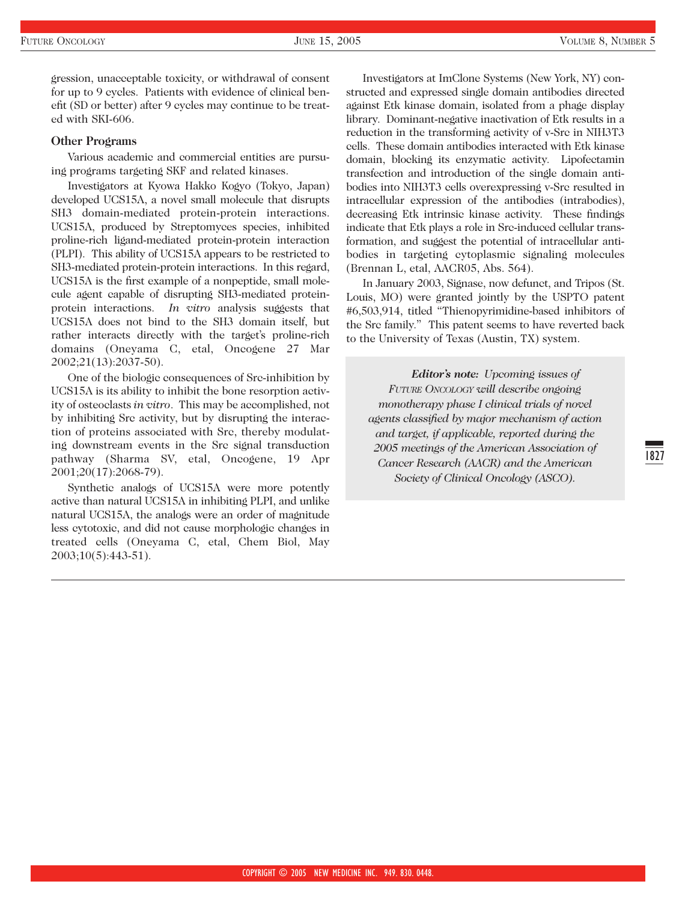gression, unacceptable toxicity, or withdrawal of consent for up to 9 cycles. Patients with evidence of clinical benefit (SD or better) after 9 cycles may continue to be treated with SKI-606.

#### **Other Programs**

Various academic and commercial entities are pursuing programs targeting SKF and related kinases.

Investigators at Kyowa Hakko Kogyo (Tokyo, Japan) developed UCS15A, a novel small molecule that disrupts SH3 domain-mediated protein-protein interactions. UCS15A, produced by Streptomyces species, inhibited proline-rich ligand-mediated protein-protein interaction (PLPI). This ability of UCS15A appears to be restricted to SH3-mediated protein-protein interactions. In this regard, UCS15A is the first example of a nonpeptide, small molecule agent capable of disrupting SH3-mediated proteinprotein interactions. *In vitro* analysis suggests that UCS15A does not bind to the SH3 domain itself, but rather interacts directly with the target's proline-rich domains (Oneyama C, etal, Oncogene 27 Mar 2002;21(13):2037-50).

One of the biologic consequences of Src-inhibition by UCS15A is its ability to inhibit the bone resorption activity of osteoclasts *in vitro*. This may be accomplished, not by inhibiting Src activity, but by disrupting the interaction of proteins associated with Src, thereby modulating downstream events in the Src signal transduction pathway (Sharma SV, etal, Oncogene, 19 Apr 2001;20(17):2068-79).

Synthetic analogs of UCS15A were more potently active than natural UCS15A in inhibiting PLPI, and unlike natural UCS15A, the analogs were an order of magnitude less cytotoxic, and did not cause morphologic changes in treated cells (Oneyama C, etal, Chem Biol, May 2003;10(5):443-51).

Investigators at ImClone Systems (New York, NY) constructed and expressed single domain antibodies directed against Etk kinase domain, isolated from a phage display library. Dominant-negative inactivation of Etk results in a reduction in the transforming activity of v-Src in NIH3T3 cells. These domain antibodies interacted with Etk kinase domain, blocking its enzymatic activity. Lipofectamin transfection and introduction of the single domain antibodies into NIH3T3 cells overexpressing v-Src resulted in intracellular expression of the antibodies (intrabodies), decreasing Etk intrinsic kinase activity. These findings indicate that Etk plays a role in Src-induced cellular transformation, and suggest the potential of intracellular antibodies in targeting cytoplasmic signaling molecules (Brennan L, etal, AACR05, Abs. 564).

In January 2003, Signase, now defunct, and Tripos (St. Louis, MO) were granted jointly by the USPTO patent #6,503,914, titled "Thienopyrimidine-based inhibitors of the Src family." This patent seems to have reverted back to the University of Texas (Austin, TX) system.

*Editor's note: Upcoming issues of FUTURE ONCOLOGY will describe ongoing monotherapy phase I clinical trials of novel agents classified by major mechanism of action and target, if applicable, reported during the 2005 meetings of the American Association of Cancer Research (AACR) and the American Society of Clinical Oncology (ASCO).*